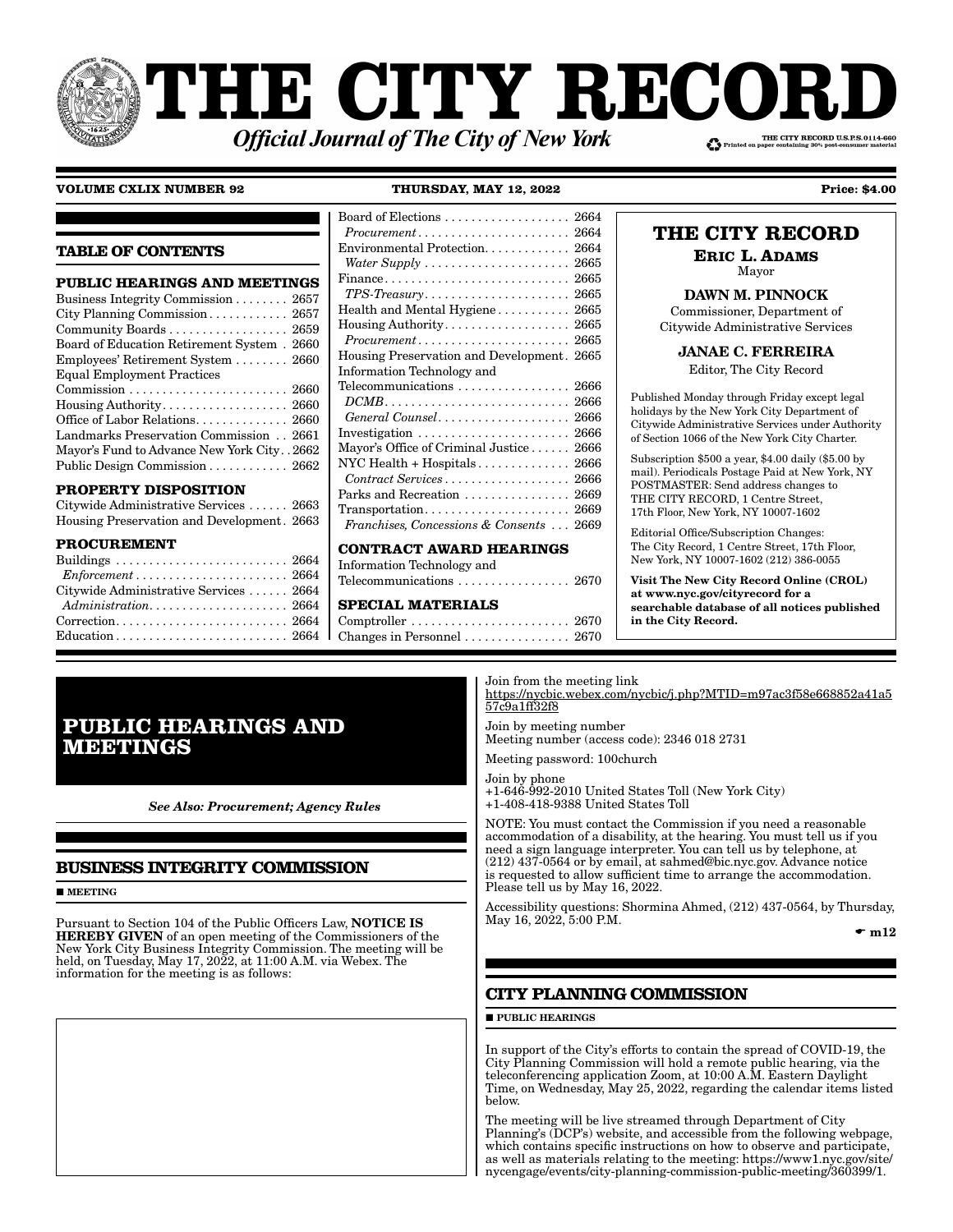# **THE CITY RECORI** THE CITY RECORD U.S.P.S.0114-660 **Official Journal of The City of New York**

### **VOLUME CXLIX NUMBER 92 THURSDAY, MAY 12, 2022 Price: \$4.00**

### **TABLE OF CONTENTS**

| <b>PUBLIC HEARINGS AND MEETINGS</b>        |
|--------------------------------------------|
| Business Integrity Commission 2657         |
| City Planning Commission 2657              |
| Community Boards  2659                     |
| Board of Education Retirement System. 2660 |
| Employees' Retirement System  2660         |
| <b>Equal Employment Practices</b>          |
|                                            |
|                                            |
| Office of Labor Relations 2660             |
| Landmarks Preservation Commission 2661     |
| Mayor's Fund to Advance New York City2662  |
| Public Design Commission 2662              |
|                                            |

### **PROPERTY DISPOSITION**

Citywide Administrative Services . . . . . . 2663 Housing Preservation and Development. 2663

### **PROCUREMENT**

| $Enforcement \ldots \ldots \ldots \ldots \ldots \ldots \ldots \ldots \ldots 2664$ |  |
|-----------------------------------------------------------------------------------|--|
| Citywide Administrative Services  2664                                            |  |
|                                                                                   |  |
|                                                                                   |  |
|                                                                                   |  |

### Board of Elections . . . . . . . . . . . . . . . . . . . 2664 *Procurement* . . . . . . . . . . . . . . . . . . . . . . . 2664 Environmental Protection. . . . . . . . . . . . . 2664 *Water Supply* . . . . . . . . . . . . . . . . . . . . . . 2665 Finance . . . . . . . . . . . . . . . . . . . . . . . . . . . . 2665 *TPS-Treasury* . . . . . . . . . . . . . . . . . . . . . . 2665 Health and Mental Hygiene . . . . . . . . . . . 2665 Housing Authority . . . . . . . . . . . . . . . . . . . 2665 *Procurement* . . . . . . . . . . . . . . . . . . . . . . . 2665 Housing Preservation and Development. 2665 Information Technology and Telecommunications . . . . . . . . . . . . . . . . . 2666 *DCMB* . . . . . . . . . . . . . . . . . . . . . . . . . . . . 2666 *General Counsel* . . . . . . . . . . . . . . . . . . . . 2666 Investigation . . . . . . . . . . . . . . . . . . . . . . . 2666 Mayor's Office of Criminal Justice . . . . . . 2666 NYC Health + Hospitals . . . . . . . . . . . . . . 2666 *Contract Services* . . . . . . . . . . . . . . . . . . . 2666 Parks and Recreation . . . . . . . . . . . . . . 2669 Transportation . . . . . . . . . . . . . . . . . . . . . . 2669 *Franchises, Concessions & Consents* . . . 2669

### **CONTRACT AWARD HEARINGS**

Information Technology and Telecommunications . . . . . . . . . . . . . . . . . 2670

### **SPECIAL MATERIALS**

Comptroller . . . . . . . . . . . . . . . . . . . . . . . . 2670 Changes in Personnel . . . . . . . . . . . . . . . . 2670

## **THE CITY RECORD**

**ERIC L. ADAMS** Mayor

DAWN M. PINNOCK

Commissioner, Department of Citywide Administrative Services

JANAE C. FERREIRA

Editor, The City Record

Published Monday through Friday except legal holidays by the New York City Department of Citywide Administrative Services under Authority of Section 1066 of the New York City Charter.

Subscription \$500 a year, \$4.00 daily (\$5.00 by mail). Periodicals Postage Paid at New York, NY POSTMASTER: Send address changes to THE CITY RECORD, 1 Centre Street, 17th Floor, New York, NY 10007-1602

Editorial Office/Subscription Changes: The City Record, 1 Centre Street, 17th Floor, New York, NY 10007-1602 (212) 386-0055

Visit The New City Record Online (CROL) at www.nyc.gov/cityrecord for a searchable database of all notices published in the City Record.

## **PUBLIC HEARINGS AND MEETINGS**

*See Also: Procurement; Agency Rules*

### **BUSINESS INTEGRITY COMMISSION**

### **MEETING**

Pursuant to Section 104 of the Public Officers Law, NOTICE IS HEREBY GIVEN of an open meeting of the Commissioners of the New York City Business Integrity Commission. The meeting will be held, on Tuesday, May 17, 2022, at 11:00 A.M. via Webex. The information for the meeting is as follows:

Join from the meeting link https://nycbic.webex.com/nycbic/j.php?MTID=m97ac3f58e668852a41a5 57c9a1ff32f8

Join by meeting number Meeting number (access code): 2346 018 2731

Meeting password: 100church

Join by phone +1-646-992-2010 United States Toll (New York City) +1-408-418-9388 United States Toll

NOTE: You must contact the Commission if you need a reasonable accommodation of a disability, at the hearing. You must tell us if you need a sign language interpreter. You can tell us by telephone, at (212) 437-0564 or by email, at sahmed@bic.nyc.gov. Advance notice is requested to allow sufficient time to arrange the accommodation. Please tell us by May 16, 2022.

Accessibility questions: Shormina Ahmed, (212) 437-0564, by Thursday, May  $16, 2022, 5:00$  P.M.

 $\bullet$  m12

### **CITY PLANNING COMMISSION**

 $\blacksquare$ PUBLIC HEARINGS

In support of the City's efforts to contain the spread of COVID-19, the City Planning Commission will hold a remote public hearing, via the teleconferencing application Zoom, at 10:00 A.M. Eastern Daylight Time, on Wednesday, May 25, 2022, regarding the calendar items listed below.

The meeting will be live streamed through Department of City Planning's (DCP's) website, and accessible from the following webpage, which contains specific instructions on how to observe and participate, as well as materials relating to the meeting: https://www1.nyc.gov/site/ nycengage/events/city-planning-commission-public-meeting/360399/1.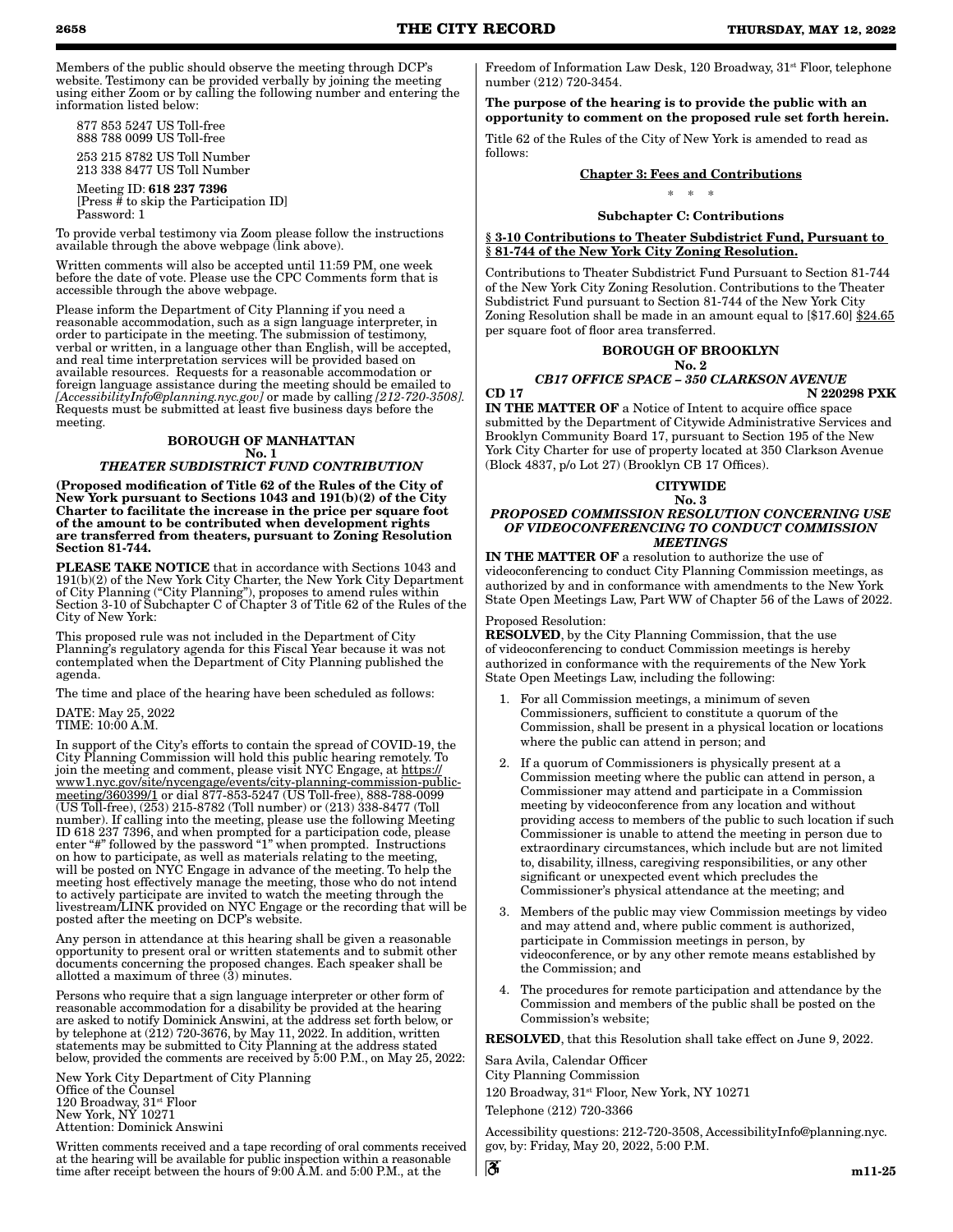Members of the public should observe the meeting through DCP's website. Testimony can be provided verbally by joining the meeting using either Zoom or by calling the following number and entering the information listed below:

 877 853 5247 US Toll-free 888 788 0099 US Toll-free

 253 215 8782 US Toll Number 213 338 8477 US Toll Number Meeting ID: 618 237 7396

 [Press # to skip the Participation ID] Password: 1

To provide verbal testimony via Zoom please follow the instructions available through the above webpage (link above).

Written comments will also be accepted until 11:59 PM, one week before the date of vote. Please use the CPC Comments form that is accessible through the above webpage.

Please inform the Department of City Planning if you need a reasonable accommodation, such as a sign language interpreter, in order to participate in the meeting. The submission of testimony, verbal or written, in a language other than English, will be accepted, and real time interpretation services will be provided based on available resources. Requests for a reasonable accommodation or foreign language assistance during the meeting should be emailed to *[AccessibilityInfo@planning.nyc.gov]* or made by calling *[212-720-3508].* Requests must be submitted at least five business days before the meeting.

### BOROUGH OF MANHATTAN

#### No. 1 *THEATER SUBDISTRICT FUND CONTRIBUTION*

(Proposed modification of Title 62 of the Rules of the City of New York pursuant to Sections 1043 and 191(b)(2) of the City Charter to facilitate the increase in the price per square foot of the amount to be contributed when development rights are transferred from theaters, pursuant to Zoning Resolution Section 81-744.

PLEASE TAKE NOTICE that in accordance with Sections 1043 and 191(b)(2) of the New York City Charter, the New York City Department of City Planning ("City Planning"), proposes to amend rules within Section 3-10 of Subchapter C of Chapter 3 of Title 62 of the Rules of the City of New York:

This proposed rule was not included in the Department of City Planning's regulatory agenda for this Fiscal Year because it was not contemplated when the Department of City Planning published the agenda.

The time and place of the hearing have been scheduled as follows:

#### DATE: May 25, 2022 TIME: 10:00 A.M.

In support of the City's efforts to contain the spread of COVID-19, the City Planning Commission will hold this public hearing remotely. To join the meeting and comment, please visit NYC Engage, at https:// www1.nyc.gov/site/nycengage/events/city-planning-commission-publicmeeting/360399/1 or dial 877-853-5247 (US Toll-free), 888-788-0099 (US Toll-free), (253) 215-8782 (Toll number) or (213) 338-8477 (Toll number). If calling into the meeting, please use the following Meeting ID 618 237 7396, and when prompted for a participation code, please enter "#" followed by the password "1" when prompted. Instructions on how to participate, as well as materials relating to the meeting, will be posted on NYC Engage in advance of the meeting. To help the meeting host effectively manage the meeting, those who do not intend to actively participate are invited to watch the meeting through the livestream/LINK provided on NYC Engage or the recording that will be posted after the meeting on DCP's website.

Any person in attendance at this hearing shall be given a reasonable opportunity to present oral or written statements and to submit other documents concerning the proposed changes. Each speaker shall be allotted a maximum of three (3) minutes.

Persons who require that a sign language interpreter or other form of reasonable accommodation for a disability be provided at the hearing are asked to notify Dominick Answini, at the address set forth below, or by telephone at  $(212)$  720-3676, by May 11, 2022. In addition, written statements may be submitted to City Planning at the address stated below, provided the comments are received by 5:00 P.M., on May 25, 2022:

New York City Department of City Planning Office of the Counsel 120 Broadway, 31st Floor New York, NY 10271 Attention: Dominick Answini

Written comments received and a tape recording of oral comments received at the hearing will be available for public inspection within a reasonable time after receipt between the hours of 9:00 A.M. and 5:00 P.M., at the

Freedom of Information Law Desk, 120 Broadway, 31<sup>st</sup> Floor, telephone number (212) 720-3454.

The purpose of the hearing is to provide the public with an opportunity to comment on the proposed rule set forth herein.

Title 62 of the Rules of the City of New York is amended to read as follows:

### Chapter 3: Fees and Contributions

\* \* \*

### Subchapter C: Contributions

§ 3-10 Contributions to Theater Subdistrict Fund, Pursuant to § 81-744 of the New York City Zoning Resolution.

Contributions to Theater Subdistrict Fund Pursuant to Section 81-744 of the New York City Zoning Resolution. Contributions to the Theater Subdistrict Fund pursuant to Section 81-744 of the New York City Zoning Resolution shall be made in an amount equal to [\$17.60] \$24.65 per square foot of floor area transferred.

#### BOROUGH OF BROOKLYN No. 2

#### *CB17 OFFICE SPACE – 350 CLARKSON AVENUE* CD 17 N 220298 PXK

IN THE MATTER OF a Notice of Intent to acquire office space submitted by the Department of Citywide Administrative Services and Brooklyn Community Board 17, pursuant to Section 195 of the New York City Charter for use of property located at 350 Clarkson Avenue (Block 4837, p/o Lot 27) (Brooklyn CB 17 Offices).

**CITYWIDE** 

#### No. 3 *PROPOSED COMMISSION RESOLUTION CONCERNING USE OF VIDEOCONFERENCING TO CONDUCT COMMISSION MEETINGS*

IN THE MATTER OF a resolution to authorize the use of videoconferencing to conduct City Planning Commission meetings, as authorized by and in conformance with amendments to the New York State Open Meetings Law, Part WW of Chapter 56 of the Laws of 2022.

### Proposed Resolution:

RESOLVED, by the City Planning Commission, that the use of videoconferencing to conduct Commission meetings is hereby authorized in conformance with the requirements of the New York State Open Meetings Law, including the following:

- 1. For all Commission meetings, a minimum of seven Commissioners, sufficient to constitute a quorum of the Commission, shall be present in a physical location or locations where the public can attend in person; and
- 2. If a quorum of Commissioners is physically present at a Commission meeting where the public can attend in person, a Commissioner may attend and participate in a Commission meeting by videoconference from any location and without providing access to members of the public to such location if such Commissioner is unable to attend the meeting in person due to extraordinary circumstances, which include but are not limited to, disability, illness, caregiving responsibilities, or any other significant or unexpected event which precludes the Commissioner's physical attendance at the meeting; and
- 3. Members of the public may view Commission meetings by video and may attend and, where public comment is authorized, participate in Commission meetings in person, by videoconference, or by any other remote means established by the Commission; and
- 4. The procedures for remote participation and attendance by the Commission and members of the public shall be posted on the Commission's website;

RESOLVED, that this Resolution shall take effect on June 9, 2022.

Sara Avila, Calendar Officer City Planning Commission 120 Broadway, 31st Floor, New York, NY 10271

Telephone (212) 720-3366

්රී

Accessibility questions: 212-720-3508, AccessibilityInfo@planning.nyc. gov, by: Friday, May 20, 2022, 5:00 P.M.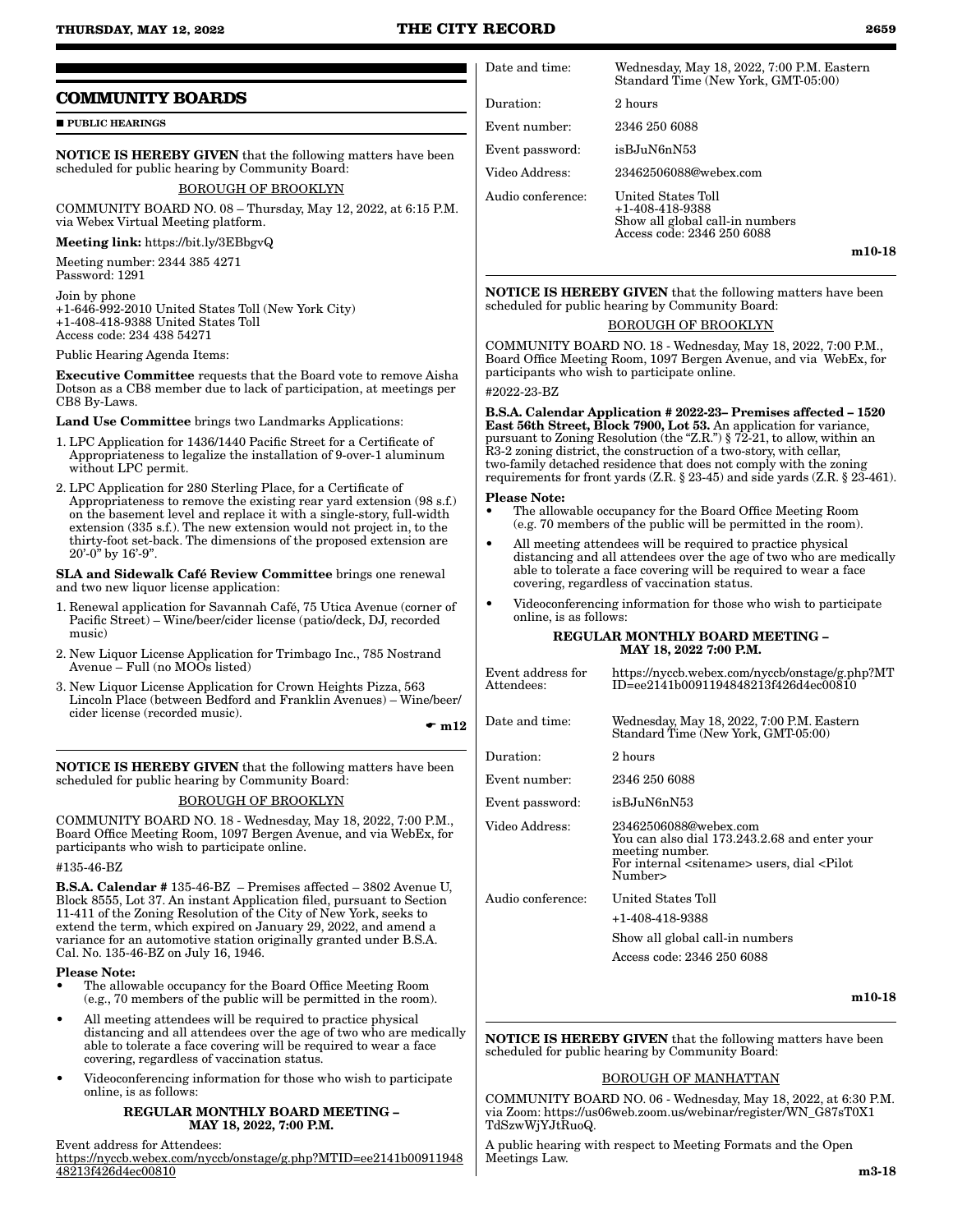### **THURSDAY, MAY 12, 2022 THE CITY RECORD 2659**

### **COMMUNITY BOARDS**

**PUBLIC HEARINGS** 

NOTICE IS HEREBY GIVEN that the following matters have been scheduled for public hearing by Community Board:

### BOROUGH OF BROOKLYN

COMMUNITY BOARD NO. 08 – Thursday, May 12, 2022, at 6:15 P.M. via Webex Virtual Meeting platform.

Meeting link: https://bit.ly/3EBbgvQ

Meeting number: 2344 385 4271 Password: 1291

Join by phone +1-646-992-2010 United States Toll (New York City) +1-408-418-9388 United States Toll Access code: 234 438 54271

Public Hearing Agenda Items:

Executive Committee requests that the Board vote to remove Aisha Dotson as a CB8 member due to lack of participation, at meetings per CB8 By-Laws.

Land Use Committee brings two Landmarks Applications:

- 1. LPC Application for 1436/1440 Pacific Street for a Certificate of Appropriateness to legalize the installation of 9-over-1 aluminum without LPC permit.
- 2. LPC Application for 280 Sterling Place, for a Certificate of Appropriateness to remove the existing rear yard extension (98 s.f.) on the basement level and replace it with a single-story, full-width extension (335 s.f.). The new extension would not project in, to the thirty-foot set-back. The dimensions of the proposed extension are  $20^{\circ}$ -0" by 16'-9".

SLA and Sidewalk Café Review Committee brings one renewal and two new liquor license application:

- 1. Renewal application for Savannah Café, 75 Utica Avenue (corner of Pacific Street) – Wine/beer/cider license (patio/deck, DJ, recorded music)
- 2. New Liquor License Application for Trimbago Inc., 785 Nostrand Avenue – Full (no MOOs listed)
- 3. New Liquor License Application for Crown Heights Pizza, 563 Lincoln Place (between Bedford and Franklin Avenues) – Wine/beer/ cider license (recorded music).

 $\bullet$  m12

NOTICE IS HEREBY GIVEN that the following matters have been scheduled for public hearing by Community Board:

### BOROUGH OF BROOKLYN

COMMUNITY BOARD NO. 18 - Wednesday, May 18, 2022, 7:00 P.M., Board Office Meeting Room, 1097 Bergen Avenue, and via WebEx, for participants who wish to participate online.

#135-46-BZ

B.S.A. Calendar # 135-46-BZ – Premises affected – 3802 Avenue U, Block 8555, Lot 37. An instant Application filed, pursuant to Section 11-411 of the Zoning Resolution of the City of New York, seeks to extend the term, which expired on January 29, 2022, and amend a variance for an automotive station originally granted under B.S.A. Cal. No. 135-46-BZ on July 16, 1946.

#### Please Note:

- The allowable occupancy for the Board Office Meeting Room (e.g., 70 members of the public will be permitted in the room).
- All meeting attendees will be required to practice physical distancing and all attendees over the age of two who are medically able to tolerate a face covering will be required to wear a face covering, regardless of vaccination status.
- Videoconferencing information for those who wish to participate online, is as follows:

#### REGULAR MONTHLY BOARD MEETING – MAY 18, 2022, 7:00 P.M.

Event address for Attendees:

https://nyccb.webex.com/nyccb/onstage/g.php?MTID=ee2141b00911948 48213f426d4ec00810

Duration: 2 hours Event number: 2346 250 6088

Event password: isBJuN6nN53 Video Address: 23462506088@webex.com

Audio conference: United States Toll

+1-408-418-9388 Show all global call-in numbers Access code: 2346 250 6088

Standard Time (New York, GMT-05:00)

m10-18

NOTICE IS HEREBY GIVEN that the following matters have been scheduled for public hearing by Community Board:

Date and time: Wednesday, May 18, 2022, 7:00 P.M. Eastern

### BOROUGH OF BROOKLYN

COMMUNITY BOARD NO. 18 - Wednesday, May 18, 2022, 7:00 P.M., Board Office Meeting Room, 1097 Bergen Avenue, and via WebEx, for participants who wish to participate online.

#2022-23-BZ

B.S.A. Calendar Application # 2022-23– Premises affected – 1520 East 56th Street, Block 7900, Lot 53. An application for variance, pursuant to Zoning Resolution (the "Z.R.") § 72-21, to allow, within an R3-2 zoning district, the construction of a two-story, with cellar, two-family detached residence that does not comply with the zoning requirements for front yards (Z.R. § 23-45) and side yards (Z.R. § 23-461).

### Please Note:

- The allowable occupancy for the Board Office Meeting Room (e.g. 70 members of the public will be permitted in the room).
- All meeting attendees will be required to practice physical distancing and all attendees over the age of two who are medically able to tolerate a face covering will be required to wear a face covering, regardless of vaccination status.
- Videoconferencing information for those who wish to participate online, is as follows:

#### REGULAR MONTHLY BOARD MEETING – MAY 18, 2022 7:00 P.M.

| Event address for<br>Attendees: | https://nyccb.webex.com/nyccb/onstage/g.php?MT<br>ID=ee2141b0091194848213f426d4ec00810                                                                                      |
|---------------------------------|-----------------------------------------------------------------------------------------------------------------------------------------------------------------------------|
| Date and time:                  | Wednesday, May 18, 2022, 7:00 P.M. Eastern<br>Standard Time (New York, GMT-05:00)                                                                                           |
| Duration:                       | 2 hours                                                                                                                                                                     |
| Event number:                   | 2346 250 6088                                                                                                                                                               |
| Event password:                 | isBJuN6nN53                                                                                                                                                                 |
| Video Address:                  | 23462506088@webex.com<br>You can also dial 173.243.2.68 and enter your<br>meeting number.<br>For internal <sitename> users, dial <pilot<br>Number&gt;</pilot<br></sitename> |
| Audio conference:               | United States Toll<br>+1-408-418-9388<br>Show all global call-in numbers<br>Access code: 2346 250 6088                                                                      |
|                                 |                                                                                                                                                                             |

m10-18

NOTICE IS HEREBY GIVEN that the following matters have been scheduled for public hearing by Community Board:

### BOROUGH OF MANHATTAN

COMMUNITY BOARD NO. 06 - Wednesday, May 18, 2022, at 6:30 P.M. via Zoom: https://us06web.zoom.us/webinar/register/WN\_G87sT0X1 TdSzwWjYJtRuoQ.

A public hearing with respect to Meeting Formats and the Open Meetings Law.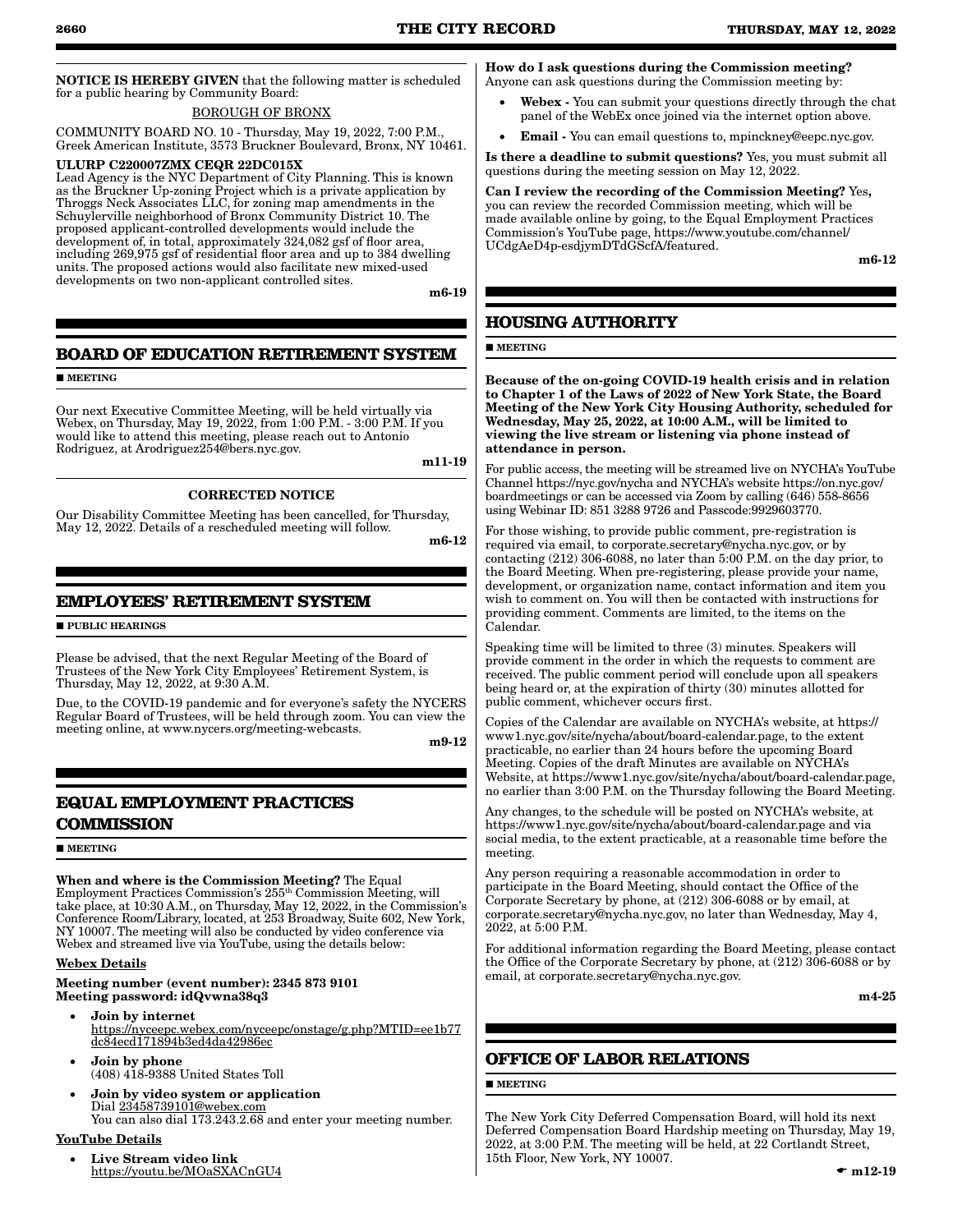NOTICE IS HEREBY GIVEN that the following matter is scheduled for a public hearing by Community Board:

#### BOROUGH OF BRONX

COMMUNITY BOARD NO. 10 - Thursday, May 19, 2022, 7:00 P.M., Greek American Institute, 3573 Bruckner Boulevard, Bronx, NY 10461.

#### ULURP C220007ZMX CEQR 22DC015X

Lead Agency is the NYC Department of City Planning. This is known as the Bruckner Up-zoning Project which is a private application by Throggs Neck Associates LLC, for zoning map amendments in the Schuylerville neighborhood of Bronx Community District 10. The proposed applicant-controlled developments would include the development of, in total, approximately 324,082 gsf of floor area, including 269,975 gsf of residential floor area and up to 384 dwelling units. The proposed actions would also facilitate new mixed-used developments on two non-applicant controlled sites.

m6-19

### **BOARD OF EDUCATION RETIREMENT SYSTEM**

**MEETING** 

Our next Executive Committee Meeting, will be held virtually via Webex, on Thursday, May 19, 2022, from 1:00 P.M. - 3:00 P.M. If you would like to attend this meeting, please reach out to Antonio Rodriguez, at Arodriguez254@bers.nyc.gov.

m11-19

### CORRECTED NOTICE

Our Disability Committee Meeting has been cancelled, for Thursday, May 12, 2022. Details of a rescheduled meeting will follow.

m6-12

### **EMPLOYEES' RETIREMENT SYSTEM**

**PUBLIC HEARINGS** 

Please be advised, that the next Regular Meeting of the Board of Trustees of the New York City Employees' Retirement System, is Thursday, May 12, 2022, at 9:30 A.M.

Due, to the COVID-19 pandemic and for everyone's safety the NYCERS Regular Board of Trustees, will be held through zoom. You can view the meeting online, at www.nycers.org/meeting-webcasts.

m9-12

### **EQUAL EMPLOYMENT PRACTICES COMMISSION**

#### **MEETING**

When and where is the Commission Meeting? The Equal Employment Practices Commission's 255<sup>th</sup> Commission Meeting, will take place, at 10:30 A.M., on Thursday, May 12, 2022, in the Commission's Conference Room/Library, located, at 253 Broadway, Suite 602, New York, NY 10007. The meeting will also be conducted by video conference via Webex and streamed live via YouTube, using the details below:

#### Webex Details

Meeting number (event number): 2345 873 9101 Meeting password: idQvwna38q3

- Join by internet https://nyceepc.webex.com/nyceepc/onstage/g.php?MTID=ee1b77 dc84ecd171894b3ed4da42986ec
- • Join by phone (408) 418-9388 United States Toll
- Join by video system or application Dial 23458739101@webex.com You can also dial 173.243.2.68 and enter your meeting number.

### YouTube Details

Live Stream video link https://youtu.be/MOaSXACnGU4

#### How do I ask questions during the Commission meeting? Anyone can ask questions during the Commission meeting by:

- Webex You can submit your questions directly through the chat panel of the WebEx once joined via the internet option above.
- **Email** You can email questions to, mpinckney@eepc.nyc.gov.

Is there a deadline to submit questions? Yes, you must submit all questions during the meeting session on May 12, 2022.

Can I review the recording of the Commission Meeting? Yes, you can review the recorded Commission meeting, which will be made available online by going, to the Equal Employment Practices Commission's YouTube page, https://www.youtube.com/channel/ UCdgAeD4p-esdjymDTdGScfA/featured.

m6-12

### **HOUSING AUTHORITY**

#### **MEETING**

Because of the on-going COVID-19 health crisis and in relation to Chapter 1 of the Laws of 2022 of New York State, the Board Meeting of the New York City Housing Authority, scheduled for Wednesday, May 25, 2022, at 10:00 A.M., will be limited to viewing the live stream or listening via phone instead of attendance in person.

For public access, the meeting will be streamed live on NYCHA's YouTube Channel https://nyc.gov/nycha and NYCHA's website https://on.nyc.gov/ boardmeetings or can be accessed via Zoom by calling (646) 558-8656 using Webinar ID: 851 3288 9726 and Passcode:9929603770.

For those wishing, to provide public comment, pre-registration is required via email, to corporate.secretary@nycha.nyc.gov, or by contacting (212) 306-6088, no later than 5:00 P.M. on the day prior, to the Board Meeting. When pre-registering, please provide your name, development, or organization name, contact information and item you wish to comment on. You will then be contacted with instructions for providing comment. Comments are limited, to the items on the Calendar.

Speaking time will be limited to three (3) minutes. Speakers will provide comment in the order in which the requests to comment are received. The public comment period will conclude upon all speakers being heard or, at the expiration of thirty (30) minutes allotted for public comment, whichever occurs first.

Copies of the Calendar are available on NYCHA's website, at https:// www1.nyc.gov/site/nycha/about/board-calendar.page, to the extent practicable, no earlier than 24 hours before the upcoming Board Meeting. Copies of the draft Minutes are available on NYCHA's Website, at https://www1.nyc.gov/site/nycha/about/board-calendar.page, no earlier than 3:00 P.M. on the Thursday following the Board Meeting.

Any changes, to the schedule will be posted on NYCHA's website, at https://www1.nyc.gov/site/nycha/about/board-calendar.page and via social media, to the extent practicable, at a reasonable time before the meeting.

Any person requiring a reasonable accommodation in order to participate in the Board Meeting, should contact the Office of the Corporate Secretary by phone, at (212) 306-6088 or by email, at corporate.secretary@nycha.nyc.gov, no later than Wednesday, May 4, 2022, at 5:00 P.M.

For additional information regarding the Board Meeting, please contact the Office of the Corporate Secretary by phone, at (212) 306-6088 or by email, at corporate.secretary@nycha.nyc.gov.

m4-25

### **OFFICE OF LABOR RELATIONS**

#### **MEETING**

The New York City Deferred Compensation Board, will hold its next Deferred Compensation Board Hardship meeting on Thursday, May 19, 2022, at 3:00 P.M. The meeting will be held, at 22 Cortlandt Street, 15th Floor, New York, NY 10007.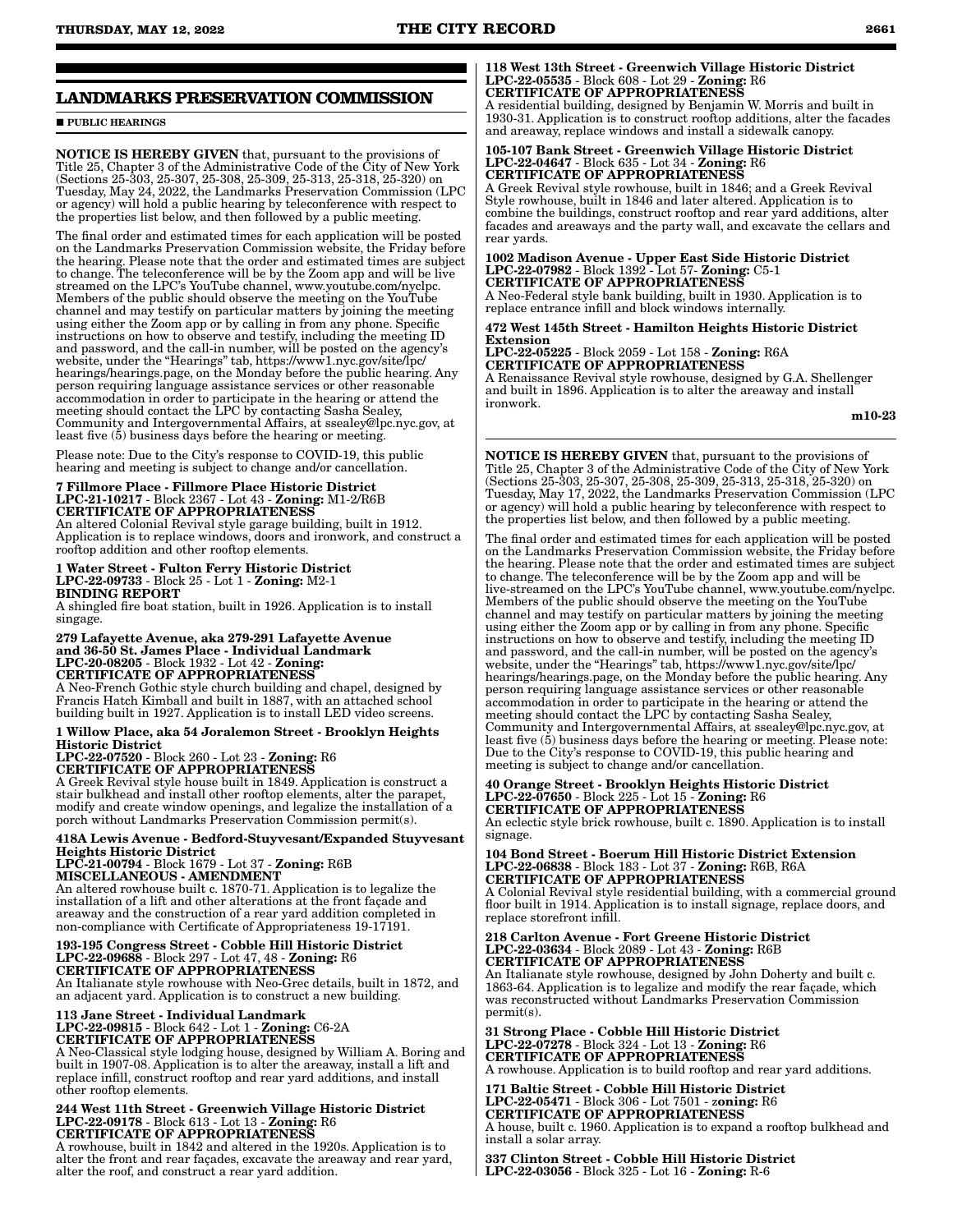### **LANDMARKS PRESERVATION COMMISSION**

**PUBLIC HEARINGS** 

NOTICE IS HEREBY GIVEN that, pursuant to the provisions of Title 25, Chapter 3 of the Administrative Code of the City of New York (Sections 25-303, 25-307, 25-308, 25-309, 25-313, 25-318, 25-320) on Tuesday, May 24, 2022, the Landmarks Preservation Commission (LPC or agency) will hold a public hearing by teleconference with respect to the properties list below, and then followed by a public meeting.

The final order and estimated times for each application will be posted on the Landmarks Preservation Commission website, the Friday before the hearing. Please note that the order and estimated times are subject to change. The teleconference will be by the Zoom app and will be live streamed on the LPC's YouTube channel, www.youtube.com/nyclpc. Members of the public should observe the meeting on the YouTube channel and may testify on particular matters by joining the meeting using either the Zoom app or by calling in from any phone. Specific instructions on how to observe and testify, including the meeting ID and password, and the call-in number, will be posted on the agency's website, under the "Hearings" tab, https://www1.nyc.gov/site/lpc/ hearings/hearings.page, on the Monday before the public hearing. Any person requiring language assistance services or other reasonable accommodation in order to participate in the hearing or attend the meeting should contact the LPC by contacting Sasha Sealey, Community and Intergovernmental Affairs, at ssealey@lpc.nyc.gov, at least five (5) business days before the hearing or meeting.

Please note: Due to the City's response to COVID-19, this public hearing and meeting is subject to change and/or cancellation.

## 7 Fillmore Place - Fillmore Place Historic District LPC-21-10217 - Block 2367 - Lot 43 - Zoning: M1-2/R6B CERTIFICATE OF APPROPRIATENESS

An altered Colonial Revival style garage building, built in 1912. Application is to replace windows, doors and ironwork, and construct a rooftop addition and other rooftop elements.

1 Water Street - Fulton Ferry Historic District LPC-22-09733 - Block 25 - Lot 1 - Zoning: M2-1 BINDING REPORT

A shingled fire boat station, built in 1926. Application is to install singage.

279 Lafayette Avenue, aka 279-291 Lafayette Avenue and 36-50 St. James Place - Individual Landmark LPC-20-08205 - Block 1932 - Lot 42 - Zoning: CERTIFICATE OF APPROPRIATENESS

A Neo-French Gothic style church building and chapel, designed by Francis Hatch Kimball and built in 1887, with an attached school building built in 1927. Application is to install LED video screens.

#### 1 Willow Place, aka 54 Joralemon Street - Brooklyn Heights Historic District

LPC-22-07520 - Block 260 - Lot 23 - Zoning: R6 CERTIFICATE OF APPROPRIATENESS

A Greek Revival style house built in 1849. Application is construct a stair bulkhead and install other rooftop elements, alter the parapet, modify and create window openings, and legalize the installation of a porch without Landmarks Preservation Commission permit(s).

418A Lewis Avenue - Bedford-Stuyvesant/Expanded Stuyvesant Heights Historic District

LPC-21-00794 - Block 1679 - Lot 37 - Zoning: R6B MISCELLANEOUS - AMENDMENT

An altered rowhouse built c. 1870-71. Application is to legalize the installation of a lift and other alterations at the front façade and areaway and the construction of a rear yard addition completed in non-compliance with Certificate of Appropriateness 19-17191.

## 193-195 Congress Street - Cobble Hill Historic District LPC-22-09688 - Block 297 - Lot 47, 48 - Zoning: R6 CERTIFICATE OF APPROPRIATENESS

An Italianate style rowhouse with Neo-Grec details, built in 1872, and an adjacent yard. Application is to construct a new building.

### 113 Jane Street - Individual Landmark LPC-22-09815 - Block 642 - Lot 1 - Zoning: C6-2A CERTIFICATE OF APPROPRIATENESS

A Neo-Classical style lodging house, designed by William A. Boring and built in 1907-08. Application is to alter the areaway, install a lift and replace infill, construct rooftop and rear yard additions, and install other rooftop elements.

#### 244 West 11th Street - Greenwich Village Historic District LPC-22-09178 - Block 613 - Lot 13 - Zoning: R6 CERTIFICATE OF APPROPRIATENESS

A rowhouse, built in 1842 and altered in the 1920s. Application is to alter the front and rear façades, excavate the areaway and rear yard, alter the roof, and construct a rear yard addition.

#### 118 West 13th Street - Greenwich Village Historic District LPC-22-05535 - Block 608 - Lot 29 - Zoning: R6 CERTIFICATE OF APPROPRIATENESS

A residential building, designed by Benjamin W. Morris and built in 1930-31. Application is to construct rooftop additions, alter the facades and areaway, replace windows and install a sidewalk canopy.

105-107 Bank Street - Greenwich Village Historic District LPC-22-04647 - Block 635 - Lot 34 - Zoning: R6 CERTIFICATE OF APPROPRIATENESS

A Greek Revival style rowhouse, built in 1846; and a Greek Revival Style rowhouse, built in 1846 and later altered. Application is to combine the buildings, construct rooftop and rear yard additions, alter facades and areaways and the party wall, and excavate the cellars and rear yards.

1002 Madison Avenue - Upper East Side Historic District LPC-22-07982 - Block 1392 - Lot 57- Zoning: C5-1 CERTIFICATE OF APPROPRIATENESS

A Neo-Federal style bank building, built in 1930. Application is to replace entrance infill and block windows internally.

472 West 145th Street - Hamilton Heights Historic District Extension

LPC-22-05225 - Block 2059 - Lot 158 - Zoning: R6A CERTIFICATE OF APPROPRIATENESS

A Renaissance Revival style rowhouse, designed by G.A. Shellenger and built in 1896. Application is to alter the areaway and install ironwork.

m10-23

NOTICE IS HEREBY GIVEN that, pursuant to the provisions of Title 25, Chapter 3 of the Administrative Code of the City of New York (Sections 25-303, 25-307, 25-308, 25-309, 25-313, 25-318, 25-320) on Tuesday, May 17, 2022, the Landmarks Preservation Commission (LPC or agency) will hold a public hearing by teleconference with respect to the properties list below, and then followed by a public meeting.

The final order and estimated times for each application will be posted on the Landmarks Preservation Commission website, the Friday before the hearing. Please note that the order and estimated times are subject to change. The teleconference will be by the Zoom app and will be live-streamed on the LPC's YouTube channel, www.youtube.com/nyclpc. Members of the public should observe the meeting on the YouTube channel and may testify on particular matters by joining the meeting using either the Zoom app or by calling in from any phone. Specific instructions on how to observe and testify, including the meeting ID and password, and the call-in number, will be posted on the agency's website, under the "Hearings" tab, https://www1.nyc.gov/site/lpc/ hearings/hearings.page, on the Monday before the public hearing. Any person requiring language assistance services or other reasonable accommodation in order to participate in the hearing or attend the meeting should contact the LPC by contacting Sasha Sealey, Community and Intergovernmental Affairs, at ssealey@lpc.nyc.gov, at least five (5) business days before the hearing or meeting. Please note: Due to the City's response to COVID-19, this public hearing and meeting is subject to change and/or cancellation.

#### 40 Orange Street - Brooklyn Heights Historic District LPC-22-07650 - Block 225 - Lot 15 - Zoning: R6 CERTIFICATE OF APPROPRIATENESS

An eclectic style brick rowhouse, built c. 1890. Application is to install signage.

104 Bond Street - Boerum Hill Historic District Extension LPC-22-06838 - Block 183 - Lot 37 - Zoning: R6B, R6A CERTIFICATE OF APPROPRIATENESS

A Colonial Revival style residential building, with a commercial ground floor built in 1914. Application is to install signage, replace doors, and replace storefront infill.

#### 218 Carlton Avenue - Fort Greene Historic District LPC-22-03634 - Block 2089 - Lot 43 - Zoning: R6B CERTIFICATE OF APPROPRIATENESS

An Italianate style rowhouse, designed by John Doherty and built c. 1863-64. Application is to legalize and modify the rear façade, which was reconstructed without Landmarks Preservation Commission permit(s).

31 Strong Place - Cobble Hill Historic District LPC-22-07278 - Block 324 - Lot 13 - Zoning: R6 CERTIFICATE OF APPROPRIATENESS A rowhouse. Application is to build rooftop and rear yard additions.

171 Baltic Street - Cobble Hill Historic District LPC-22-05471 - Block 306 - Lot 7501 - zoning: R6 CERTIFICATE OF APPROPRIATENESS A house, built c. 1960. Application is to expand a rooftop bulkhead and install a solar array.

337 Clinton Street - Cobble Hill Historic District LPC-22-03056 - Block 325 - Lot 16 - Zoning: R-6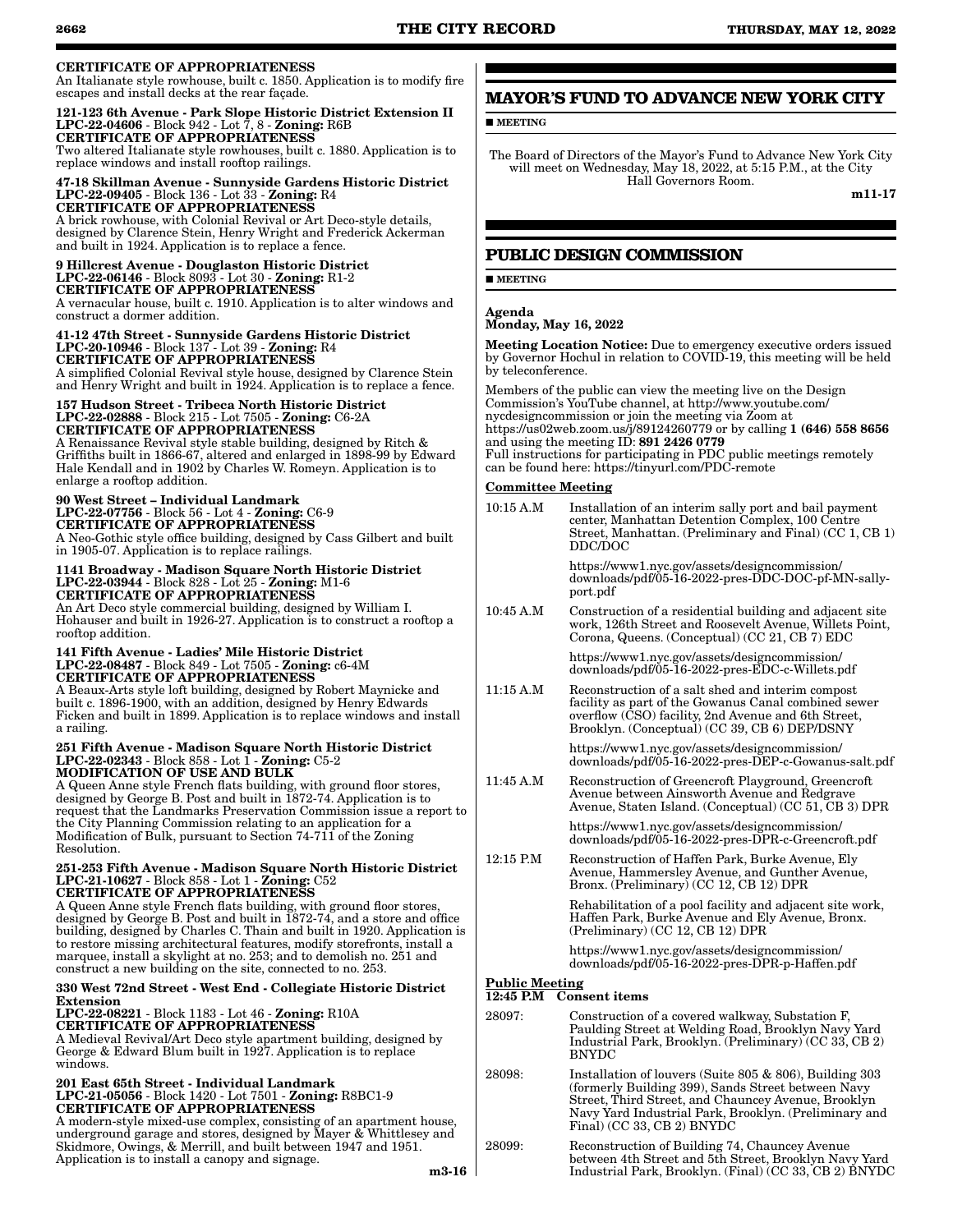### CERTIFICATE OF APPROPRIATENESS

An Italianate style rowhouse, built c. 1850. Application is to modify fire escapes and install decks at the rear façade.

#### 121-123 6th Avenue - Park Slope Historic District Extension II LPC-22-04606 - Block 942 - Lot 7, 8 - Zoning: R6B CERTIFICATE OF APPROPRIATENESS

Two altered Italianate style rowhouses, built c. 1880. Application is to replace windows and install rooftop railings.

#### 47-18 Skillman Avenue - Sunnyside Gardens Historic District LPC-22-09405 - Block 136 - Lot 33 - Zoning: R4 CERTIFICATE OF APPROPRIATENESS

A brick rowhouse, with Colonial Revival or Art Deco-style details, designed by Clarence Stein, Henry Wright and Frederick Ackerman and built in 1924. Application is to replace a fence.

#### 9 Hillcrest Avenue - Douglaston Historic District LPC-22-06146 - Block 8093 - Lot 30 - Zoning: R1-2 CERTIFICATE OF APPROPRIATENESS

A vernacular house, built c. 1910. Application is to alter windows and construct a dormer addition.

#### 41-12 47th Street - Sunnyside Gardens Historic District LPC-20-10946 - Block 137 - Lot 39 - Zoning: R4 CERTIFICATE OF APPROPRIATENESS

A simplified Colonial Revival style house, designed by Clarence Stein and Henry Wright and built in 1924. Application is to replace a fence.

#### 157 Hudson Street - Tribeca North Historic District LPC-22-02888 - Block 215 - Lot 7505 - Zoning: C6-2A CERTIFICATE OF APPROPRIATENESS

A Renaissance Revival style stable building, designed by Ritch & Griffiths built in 1866-67, altered and enlarged in 1898-99 by Edward Hale Kendall and in 1902 by Charles W. Romeyn. Application is to enlarge a rooftop addition.

#### 90 West Street – Individual Landmark LPC-22-07756 - Block 56 - Lot 4 - Zoning: C6-9 CERTIFICATE OF APPROPRIATENESS A Neo-Gothic style office building, designed by Cass Gilbert and built in 1905-07. Application is to replace railings.

#### 1141 Broadway - Madison Square North Historic District LPC-22-03944 - Block 828 - Lot 25 - Zoning: M1-6 CERTIFICATE OF APPROPRIATENESS

An Art Deco style commercial building, designed by William I. Hohauser and built in 1926-27. Application is to construct a rooftop a rooftop addition.

#### 141 Fifth Avenue - Ladies' Mile Historic District LPC-22-08487 - Block 849 - Lot 7505 - Zoning: c6-4M CERTIFICATE OF APPROPRIATENESS

A Beaux-Arts style loft building, designed by Robert Maynicke and built c. 1896-1900, with an addition, designed by Henry Edwards Ficken and built in 1899. Application is to replace windows and install a railing.

#### 251 Fifth Avenue - Madison Square North Historic District LPC-22-02343 - Block 858 - Lot 1 - Zoning: C5-2 MODIFICATION OF USE AND BULK

A Queen Anne style French flats building, with ground floor stores, designed by George B. Post and built in 1872-74. Application is to request that the Landmarks Preservation Commission issue a report to the City Planning Commission relating to an application for a Modification of Bulk, pursuant to Section 74-711 of the Zoning Resolution.

#### 251-253 Fifth Avenue - Madison Square North Historic District LPC-21-10627 - Block 858 - Lot 1 - Zoning: C52 CERTIFICATE OF APPROPRIATENESS

A Queen Anne style French flats building, with ground floor stores, designed by George B. Post and built in 1872-74, and a store and office building, designed by Charles C. Thain and built in 1920. Application is to restore missing architectural features, modify storefronts, install a marquee, install a skylight at no. 253; and to demolish no. 251 and construct a new building on the site, connected to no. 253.

### 330 West 72nd Street - West End - Collegiate Historic District Extension

#### LPC-22-08221 - Block 1183 - Lot 46 - Zoning: R10A CERTIFICATE OF APPROPRIATENESS

A Medieval Revival/Art Deco style apartment building, designed by George & Edward Blum built in 1927. Application is to replace windows.

#### 201 East 65th Street - Individual Landmark LPC-21-05056 - Block 1420 - Lot 7501 - Zoning: R8BC1-9 CERTIFICATE OF APPROPRIATENESS

A modern-style mixed-use complex, consisting of an apartment house, underground garage and stores, designed by Mayer & Whittlesey and Skidmore, Owings, & Merrill, and built between 1947 and 1951. Application is to install a canopy and signage.

**MEETING** 

The Board of Directors of the Mayor's Fund to Advance New York City will meet on Wednesday, May 18, 2022, at 5:15 P.M., at the City Hall Governors Room.

m11-17

### **PUBLIC DESIGN COMMISSION**

### **MEETING**

#### Agenda Monday, May 16, 2022

Meeting Location Notice: Due to emergency executive orders issued by Governor Hochul in relation to COVID-19, this meeting will be held by teleconference.

Members of the public can view the meeting live on the Design Commission's YouTube channel, at http://www.youtube.com/ nycdesigncommission or join the meeting via Zoom at https://us02web.zoom.us/j/89124260779 or by calling 1 (646) 558 8656 and using the meeting ID: 891 2426 0779 Full instructions for participating in PDC public meetings remotely can be found here: https://tinyurl.com/PDC-remote

### Committee Meeting

| $10:15$ A.M | Installation of an interim sally port and bail payment<br>center, Manhattan Detention Complex, 100 Centre<br>Street, Manhattan. (Preliminary and Final) (CC 1, CB 1)<br>DDC/DOC                                   |
|-------------|-------------------------------------------------------------------------------------------------------------------------------------------------------------------------------------------------------------------|
|             | https://www1.nyc.gov/assets/designcommission/<br>downloads/pdf/05-16-2022-pres-DDC-DOC-pf-MN-sally-<br>port.pdf                                                                                                   |
| 10:45 A.M   | Construction of a residential building and adjacent site<br>work, 126th Street and Roosevelt Avenue, Willets Point,<br>Corona, Queens. (Conceptual) (CC 21, CB 7) EDC                                             |
|             | https://www1.nyc.gov/assets/designcommission/<br>downloads/pdf/05-16-2022-pres-EDC-c-Willets.pdf                                                                                                                  |
| 11:15 A.M   | Reconstruction of a salt shed and interim compost<br>facility as part of the Gowanus Canal combined sewer<br>overflow (CSO) facility, 2nd Avenue and 6th Street,<br>Brooklyn. (Conceptual) (CC 39, CB 6) DEP/DSNY |
|             | https://www1.nyc.gov/assets/designcommission/<br>downloads/pdf/05-16-2022-pres-DEP-c-Gowanus-salt.pdf                                                                                                             |
| 11:45 A.M   | Reconstruction of Greencroft Playground, Greencroft                                                                                                                                                               |

Avenue between Ainsworth Avenue and Redgrave Avenue, Staten Island. (Conceptual) (CC 51, CB 3) DPR

https://www1.nyc.gov/assets/designcommission/ downloads/pdf/05-16-2022-pres-DPR-c-Greencroft.pdf

12:15 P.M Reconstruction of Haffen Park, Burke Avenue, Ely Avenue, Hammersley Avenue, and Gunther Avenue, Bronx. (Preliminary) (CC 12, CB 12) DPR

> Rehabilitation of a pool facility and adjacent site work, Haffen Park, Burke Avenue and Ely Avenue, Bronx. (Preliminary) (CC 12, CB 12) DPR

https://www1.nyc.gov/assets/designcommission/ downloads/pdf/05-16-2022-pres-DPR-p-Haffen.pdf

#### Public Meeting 12:45 P.M Consent items

#### 28097: Construction of a covered walkway, Substation F, Paulding Street at Welding Road, Brooklyn Navy Yard Industrial Park, Brooklyn. (Preliminary) (CC 33, CB 2) BNYDC

28098: Installation of louvers (Suite 805 & 806), Building 303 (formerly Building 399), Sands Street between Navy Street, Third Street, and Chauncey Avenue, Brooklyn Navy Yard Industrial Park, Brooklyn. (Preliminary and Final) (CC 33, CB 2) BNYDC

28099: Reconstruction of Building 74, Chauncey Avenue between 4th Street and 5th Street, Brooklyn Navy Yard Industrial Park, Brooklyn. (Final) (CC 33, CB 2) BNYDC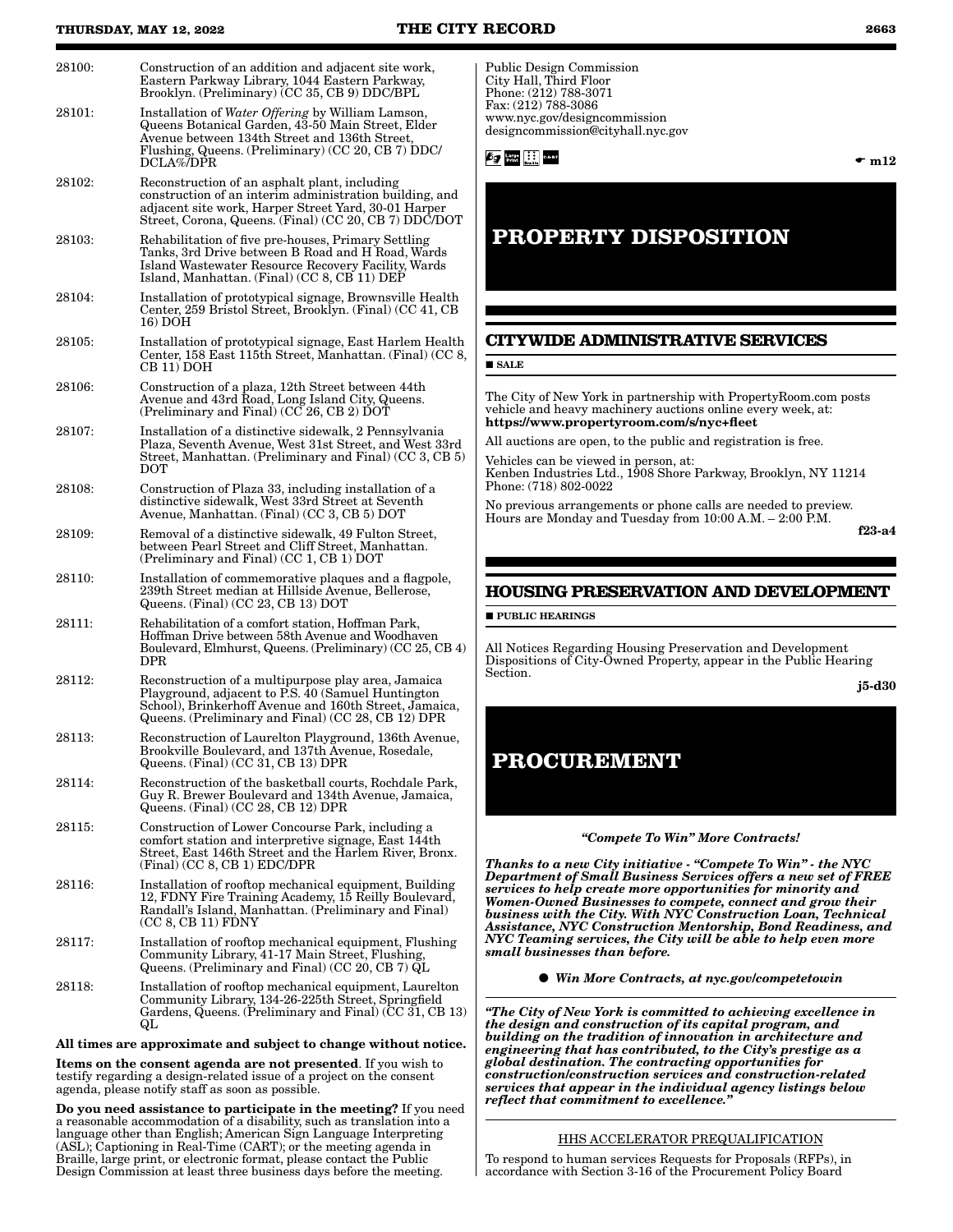| . .<br>۰, |
|-----------|
|-----------|

28100: Construction of an addition and adjacent site work, Eastern Parkway Library, 1044 Eastern Parkway, Brooklyn. (Preliminary) (CC 35, CB 9) DDC/BPL 28101: Installation of *Water Offering* by William Lamson, Queens Botanical Garden, 43-50 Main Street, Elder Avenue between 134th Street and 136th Street, Flushing, Queens. (Preliminary) (CC 20, CB 7) DDC/ DCLA%/DPR 28102: Reconstruction of an asphalt plant, including construction of an interim administration building, and adjacent site work, Harper Street Yard, 30-01 Harper Street, Corona, Queens. (Final) (CC 20, CB 7) DDC/DOT 28103: Rehabilitation of five pre-houses, Primary Settling Tanks, 3rd Drive between B Road and H Road, Wards Island Wastewater Resource Recovery Facility, Wards Island, Manhattan. (Final) (CC 8, CB 11) DEP 28104: Installation of prototypical signage, Brownsville Health Center, 259 Bristol Street, Brooklyn. (Final) (CC 41, CB 16) DOH 28105: Installation of prototypical signage, East Harlem Health Center, 158 East 115th Street, Manhattan. (Final) (CC 8, CB 11) DOH 28106: Construction of a plaza, 12th Street between 44th Avenue and 43rd Road, Long Island City, Queens. (Preliminary and Final) ( $CC$  26,  $CB$  2)  $\rm DO\bar{T}$ 28107: Installation of a distinctive sidewalk, 2 Pennsylvania Plaza, Seventh Avenue, West 31st Street, and West 33rd Street, Manhattan. (Preliminary and Final) (CC 3, CB 5) DOT 28108: Construction of Plaza 33, including installation of a distinctive sidewalk, West 33rd Street at Seventh Avenue, Manhattan. (Final) (CC 3, CB 5) DOT 28109: Removal of a distinctive sidewalk, 49 Fulton Street, between Pearl Street and Cliff Street, Manhattan. (Preliminary and Final) (CC 1, CB 1) DOT 28110: Installation of commemorative plaques and a flagpole, 239th Street median at Hillside Avenue, Bellerose, Queens. (Final) (CC 23, CB 13) DOT 28111: Rehabilitation of a comfort station, Hoffman Park, Hoffman Drive between 58th Avenue and Woodhaven Boulevard, Elmhurst, Queens. (Preliminary) (CC 25, CB 4) DPR 28112: Reconstruction of a multipurpose play area, Jamaica Playground, adjacent to P.S. 40 (Samuel Huntington School), Brinkerhoff Avenue and 160th Street, Jamaica, Queens. (Preliminary and Final) (CC 28, CB 12) DPR 28113: Reconstruction of Laurelton Playground, 136th Avenue, Brookville Boulevard, and 137th Avenue, Rosedale, Queens. (Final) (CC 31, CB 13) DPR 28114: Reconstruction of the basketball courts, Rochdale Park, Guy R. Brewer Boulevard and 134th Avenue, Jamaica, Queens. (Final) (CC 28, CB 12) DPR 28115: Construction of Lower Concourse Park, including a comfort station and interpretive signage, East 144th Street, East 146th Street and the Harlem River, Bronx. (Final) (CC 8, CB 1) EDC/DPR 28116: Installation of rooftop mechanical equipment, Building 12, FDNY Fire Training Academy, 15 Reilly Boulevard, Randall's Island, Manhattan. (Preliminary and Final)  $(CC 8, CB 11)$   $F\text{DNY}$ 28117: Installation of rooftop mechanical equipment, Flushing Community Library, 41-17 Main Street, Flushing, Queens. (Preliminary and Final) (CC 20, CB 7) QL 28118: Installation of rooftop mechanical equipment, Laurelton Community Library, 134-26-225th Street, Springfield Gardens, Queens. (Preliminary and Final) (CC 31, CB 13) QL All times are approximate and subject to change without notice. Items on the consent agenda are not presented. If you wish to testify regarding a design-related issue of a project on the consent agenda, please notify staff as soon as possible. Do you need assistance to participate in the meeting? If you need a reasonable accommodation of a disability, such as translation into a language other than English; American Sign Language Interpreting (ASL); Captioning in Real-Time (CART); or the meeting agenda in Braille, large print, or electronic format, please contact the Public Design Commission at least three business days before the meeting. **SALE** 

Public Design Commission City Hall, Third Floor Phone: (212) 788-3071 Fax: (212) 788-3086 www.nyc.gov/designcommission designcommission@cityhall.nyc.gov

*fog* **hang** iii and

 $\bullet$  m12

## **PROPERTY DISPOSITION**

### **CITYWIDE ADMINISTRATIVE SERVICES**

The City of New York in partnership with PropertyRoom.com posts vehicle and heavy machinery auctions online every week, at: https://www.propertyroom.com/s/nyc+fleet

All auctions are open, to the public and registration is free.

Vehicles can be viewed in person, at: Kenben Industries Ltd., 1908 Shore Parkway, Brooklyn, NY 11214 Phone: (718) 802-0022

No previous arrangements or phone calls are needed to preview. Hours are Monday and Tuesday from 10:00 A.M. – 2:00 P.M.

f23-a4

### **HOUSING PRESERVATION AND DEVELOPMENT**

**PUBLIC HEARINGS** 

All Notices Regarding Housing Preservation and Development Dispositions of City-Owned Property, appear in the Public Hearing Section.

j5-d30

### **PROCUREMENT**

#### *"Compete To Win" More Contracts!*

*Thanks to a new City initiative - "Compete To Win" - the NYC Department of Small Business Services offers a new set of FREE services to help create more opportunities for minority and Women-Owned Businesses to compete, connect and grow their business with the City. With NYC Construction Loan, Technical Assistance, NYC Construction Mentorship, Bond Readiness, and NYC Teaming services, the City will be able to help even more small businesses than before.*

*Win More Contracts, at nyc.gov/competetowin*

*"The City of New York is committed to achieving excellence in the design and construction of its capital program, and building on the tradition of innovation in architecture and engineering that has contributed, to the City's prestige as a global destination. The contracting opportunities for construction/construction services and construction-related services that appear in the individual agency listings below reflect that commitment to excellence."*

### HHS ACCELERATOR PREQUALIFICATION

To respond to human services Requests for Proposals (RFPs), in accordance with Section 3-16 of the Procurement Policy Board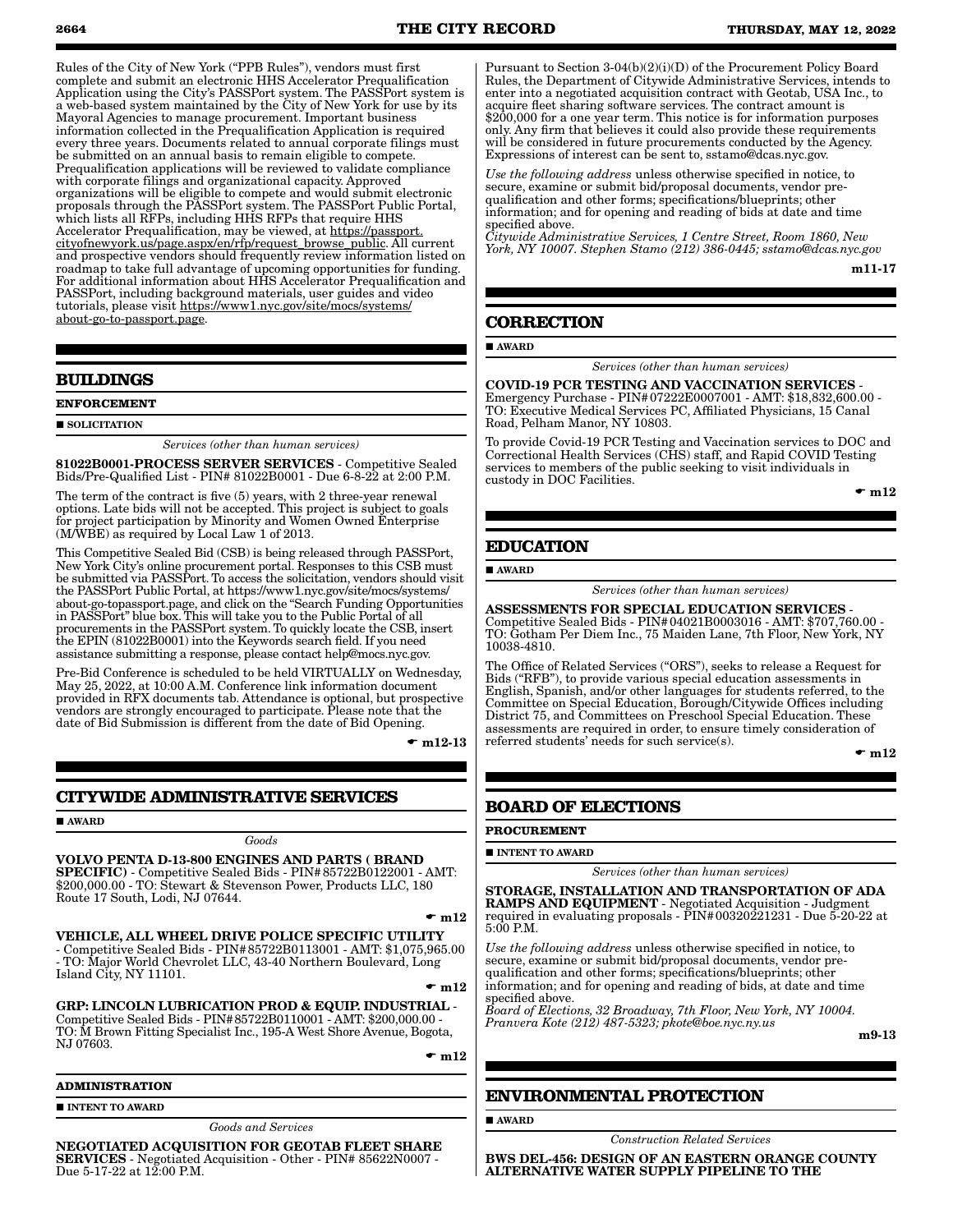Rules of the City of New York ("PPB Rules"), vendors must first complete and submit an electronic HHS Accelerator Prequalification Application using the City's PASSPort system. The PASSPort system is a web-based system maintained by the City of New York for use by its Mayoral Agencies to manage procurement. Important business information collected in the Prequalification Application is required every three years. Documents related to annual corporate filings must be submitted on an annual basis to remain eligible to compete. Prequalification applications will be reviewed to validate compliance with corporate filings and organizational capacity. Approved organizations will be eligible to compete and would submit electronic proposals through the PASSPort system. The PASSPort Public Portal, which lists all RFPs, including HHS RFPs that require HHS Accelerator Prequalification, may be viewed, at https://passport. cityofnewyork.us/page.aspx/en/rfp/request\_browse\_public. All current and prospective vendors should frequently review information listed on roadmap to take full advantage of upcoming opportunities for funding. For additional information about HHS Accelerator Prequalification and PASSPort, including background materials, user guides and video tutorials, please visit https://www1.nyc.gov/site/mocs/systems/ about-go-to-passport.page.

### **BUILDINGS**

**ENFORCEMENT**

#### **SOLICITATION**

*Services (other than human services)*

81022B0001-PROCESS SERVER SERVICES - Competitive Sealed Bids/Pre-Qualified List - PIN# 81022B0001 - Due 6-8-22 at 2:00 P.M.

The term of the contract is five (5) years, with 2 three-year renewal options. Late bids will not be accepted. This project is subject to goals for project participation by Minority and Women Owned Enterprise (M/WBE) as required by Local Law 1 of 2013.

This Competitive Sealed Bid (CSB) is being released through PASSPort, New York City's online procurement portal. Responses to this CSB must be submitted via PASSPort. To access the solicitation, vendors should visit the PASSPort Public Portal, at https://www1.nyc.gov/site/mocs/systems/ about-go-topassport.page, and click on the "Search Funding Opportunities in PASSPort" blue box. This will take you to the Public Portal of all procurements in the PASSPort system. To quickly locate the CSB, insert the EPIN (81022B0001) into the Keywords search field. If you need assistance submitting a response, please contact help@mocs.nyc.gov.

Pre-Bid Conference is scheduled to be held VIRTUALLY on Wednesday, May 25, 2022, at 10:00 A.M. Conference link information document provided in RFX documents tab. Attendance is optional, but prospective vendors are strongly encouraged to participate. Please note that the date of Bid Submission is different from the date of Bid Opening.

 $\bullet$  m12-13

### **CITYWIDE ADMINISTRATIVE SERVICES**

**AWARD** 

*Goods* VOLVO PENTA D-13-800 ENGINES AND PARTS ( BRAND SPECIFIC) - Competitive Sealed Bids - PIN#85722B0122001 - AMT: \$200,000.00 - TO: Stewart & Stevenson Power, Products LLC, 180 Route 17 South, Lodi, NJ 07644.

 $\mathbf{m}12$ 

VEHICLE, ALL WHEEL DRIVE POLICE SPECIFIC UTILITY - Competitive Sealed Bids - PIN#85722B0113001 - AMT: \$1,075,965.00 - TO: Major World Chevrolet LLC, 43-40 Northern Boulevard, Long Island City, NY 11101.

 $\mathbf{m}12$ 

GRP: LINCOLN LUBRICATION PROD & EQUIP. INDUSTRIAL - Competitive Sealed Bids - PIN#85722B0110001 - AMT: \$200,000.00 - TO: M Brown Fitting Specialist Inc., 195-A West Shore Avenue, Bogota, NJ 07603.

 $\mathbf{m}12$ 

### **ADMINISTRATION**

#### **INTENT TO AWARD**

*Goods and Services*

NEGOTIATED ACQUISITION FOR GEOTAB FLEET SHARE SERVICES - Negotiated Acquisition - Other - PIN# 85622N0007 - Due 5-17-22 at 12:00 P.M.

Pursuant to Section 3-04(b)(2)(i)(D) of the Procurement Policy Board Rules, the Department of Citywide Administrative Services, intends to enter into a negotiated acquisition contract with Geotab, USA Inc., to acquire fleet sharing software services. The contract amount is \$200,000 for a one year term. This notice is for information purposes only. Any firm that believes it could also provide these requirements will be considered in future procurements conducted by the Agency. Expressions of interest can be sent to, sstamo@dcas.nyc.gov.

*Use the following address* unless otherwise specified in notice, to secure, examine or submit bid/proposal documents, vendor prequalification and other forms; specifications/blueprints; other information; and for opening and reading of bids at date and time specified above.

*Citywide Administrative Services, 1 Centre Street, Room 1860, New York, NY 10007. Stephen Stamo (212) 386-0445; sstamo@dcas.nyc.gov*

m11-17

### **CORRECTION**

#### AWARD

*Services (other than human services)*

COVID-19 PCR TESTING AND VACCINATION SERVICES - Emergency Purchase - PIN#07222E0007001 - AMT: \$18,832,600.00 - TO: Executive Medical Services PC, Affiliated Physicians, 15 Canal Road, Pelham Manor, NY 10803.

To provide Covid-19 PCR Testing and Vaccination services to DOC and Correctional Health Services (CHS) staff, and Rapid COVID Testing services to members of the public seeking to visit individuals in custody in DOC Facilities.

 $\mathbf{m}$  m12

### **EDUCATION**

**AWARD** 

*Services (other than human services)*

ASSESSMENTS FOR SPECIAL EDUCATION SERVICES - Competitive Sealed Bids - PIN#04021B0003016 - AMT: \$707,760.00 - TO: Gotham Per Diem Inc., 75 Maiden Lane, 7th Floor, New York, NY 10038-4810.

The Office of Related Services ("ORS"), seeks to release a Request for Bids ("RFB"), to provide various special education assessments in English, Spanish, and/or other languages for students referred, to the Committee on Special Education, Borough/Citywide Offices including District 75, and Committees on Preschool Special Education. These assessments are required in order, to ensure timely consideration of referred students' needs for such service(s).

 $\bullet$  m12

### **BOARD OF ELECTIONS**

### **PROCUREMENT**

#### **INTENT TO AWARD**

*Services (other than human services)*

STORAGE, INSTALLATION AND TRANSPORTATION OF ADA RAMPS AND EQUIPMENT - Negotiated Acquisition - Judgment required in evaluating proposals - PIN#00320221231 - Due 5-20-22 at 5:00 P.M.

*Use the following address* unless otherwise specified in notice, to secure, examine or submit bid/proposal documents, vendor prequalification and other forms; specifications/blueprints; other information; and for opening and reading of bids, at date and time specified above.

*Board of Elections, 32 Broadway, 7th Floor, New York, NY 10004. Pranvera Kote (212) 487-5323; pkote@boe.nyc.ny.us*

m9-13

### **ENVIRONMENTAL PROTECTION**

AWARD

*Construction Related Services*

BWS DEL-456: DESIGN OF AN EASTERN ORANGE COUNTY ALTERNATIVE WATER SUPPLY PIPELINE TO THE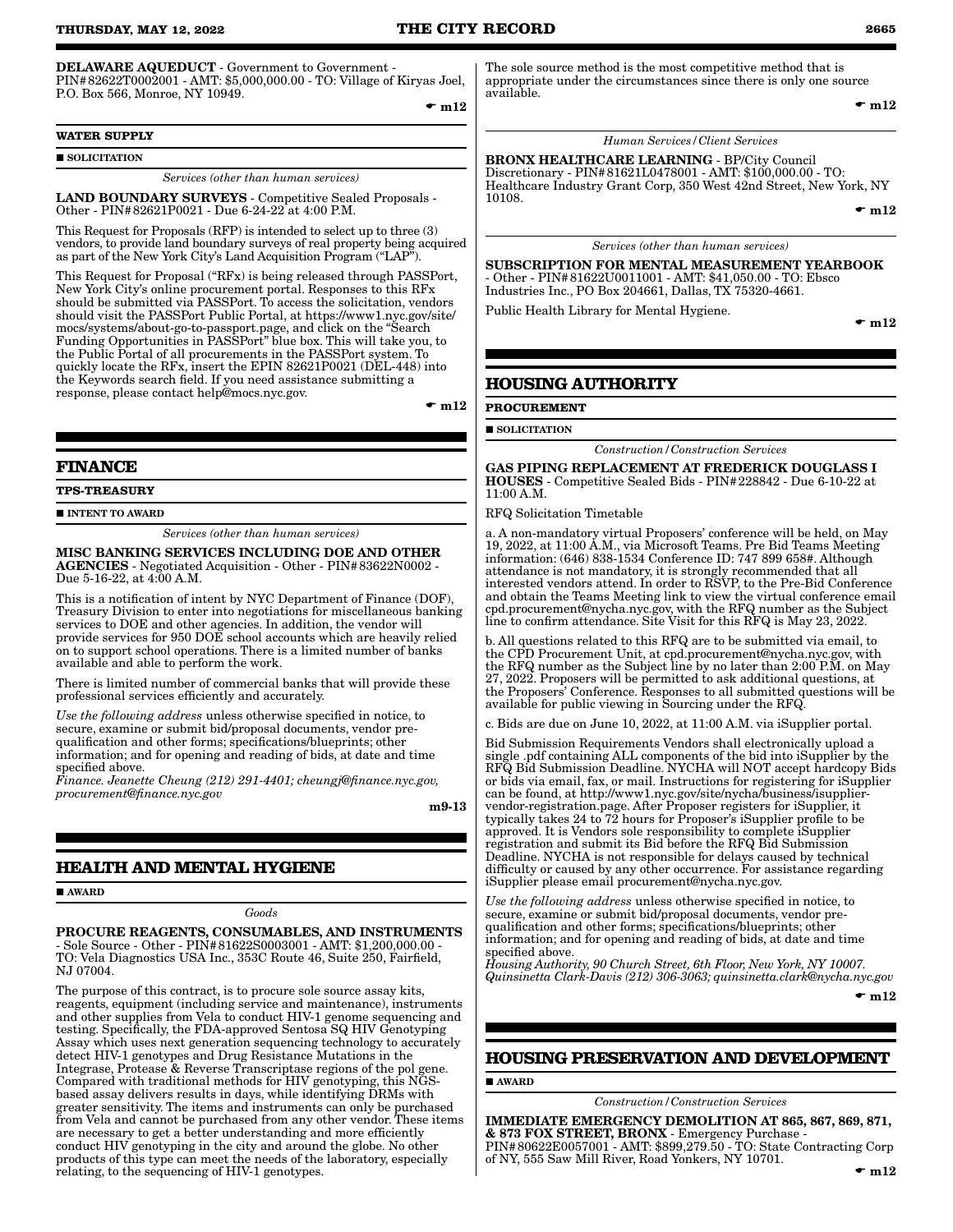### DELAWARE AQUEDUCT - Government to Government -

PIN#82622T0002001 - AMT: \$5,000,000.00 - TO: Village of Kiryas Joel, P.O. Box 566, Monroe, NY 10949.

 $\mathbf{m}12$ 

### **WATER SUPPLY**

**SOLICITATION** 

*Services (other than human services)*

LAND BOUNDARY SURVEYS - Competitive Sealed Proposals - Other - PIN#82621P0021 - Due 6-24-22 at 4:00 P.M.

This Request for Proposals (RFP) is intended to select up to three (3) vendors, to provide land boundary surveys of real property being acquired as part of the New York City's Land Acquisition Program ("LAP").

This Request for Proposal ("RFx) is being released through PASSPort, New York City's online procurement portal. Responses to this RFx should be submitted via PASSPort. To access the solicitation, vendors should visit the PASSPort Public Portal, at https://www1.nyc.gov/site/ mocs/systems/about-go-to-passport.page, and click on the "Search Funding Opportunities in PASSPort" blue box. This will take you, to the Public Portal of all procurements in the PASSPort system. To quickly locate the RFx, insert the EPIN 82621P0021 (DEL-448) into the Keywords search field. If you need assistance submitting a response, please contact help@mocs.nyc.gov.

 $\bullet$  m12

### **FINANCE**

**TPS-TREASURY**

**INTENT TO AWARD** 

*Services (other than human services)*

MISC BANKING SERVICES INCLUDING DOE AND OTHER AGENCIES - Negotiated Acquisition - Other - PIN#83622N0002 - Due 5-16-22, at 4:00 A.M.

This is a notification of intent by NYC Department of Finance (DOF), Treasury Division to enter into negotiations for miscellaneous banking services to DOE and other agencies. In addition, the vendor will provide services for 950 DOE school accounts which are heavily relied on to support school operations. There is a limited number of banks available and able to perform the work.

There is limited number of commercial banks that will provide these professional services efficiently and accurately.

*Use the following address* unless otherwise specified in notice, to secure, examine or submit bid/proposal documents, vendor prequalification and other forms; specifications/blueprints; other information; and for opening and reading of bids, at date and time specified above.

*Finance. Jeanette Cheung (212) 291-4401; cheungj@finance.nyc.gov, procurement@finance.nyc.gov*

m9-13

### **HEALTH AND MENTAL HYGIENE**

**AWARD** 

*Goods*

PROCURE REAGENTS, CONSUMABLES, AND INSTRUMENTS - Sole Source - Other - PIN#81622S0003001 - AMT: \$1,200,000.00 - TO: Vela Diagnostics USA Inc., 353C Route 46, Suite 250, Fairfield, NJ 07004.

The purpose of this contract, is to procure sole source assay kits, reagents, equipment (including service and maintenance), instruments and other supplies from Vela to conduct HIV-1 genome sequencing and testing. Specifically, the FDA-approved Sentosa SQ HIV Genotyping Assay which uses next generation sequencing technology to accurately detect HIV-1 genotypes and Drug Resistance Mutations in the Integrase, Protease & Reverse Transcriptase regions of the pol gene. Compared with traditional methods for HIV genotyping, this NGSbased assay delivers results in days, while identifying DRMs with greater sensitivity. The items and instruments can only be purchased from Vela and cannot be purchased from any other vendor. These items are necessary to get a better understanding and more efficiently conduct HIV genotyping in the city and around the globe. No other products of this type can meet the needs of the laboratory, especially relating, to the sequencing of HIV-1 genotypes.

The sole source method is the most competitive method that is appropriate under the circumstances since there is only one source available.

 $\bullet$  m12

### *Human Services/Client Services*

BRONX HEALTHCARE LEARNING - BP/City Council Discretionary - PIN#81621L0478001 - AMT: \$100,000.00 - TO: Healthcare Industry Grant Corp, 350 West 42nd Street, New York, NY 10108.

 $\bullet$  m12

#### *Services (other than human services)*

SUBSCRIPTION FOR MENTAL MEASUREMENT YEARBOOK - Other - PIN#81622U0011001 - AMT: \$41,050.00 - TO: Ebsco Industries Inc., PO Box 204661, Dallas, TX 75320-4661.

Public Health Library for Mental Hygiene.

 $\bullet$  m12

### **HOUSING AUTHORITY**

**PROCUREMENT**

**SOLICITATION** 

*Construction/Construction Services*

GAS PIPING REPLACEMENT AT FREDERICK DOUGLASS I HOUSES - Competitive Sealed Bids - PIN#228842 - Due 6-10-22 at 11:00 A.M.

RFQ Solicitation Timetable

a. A non-mandatory virtual Proposers' conference will be held, on May 19, 2022, at 11:00 A.M., via Microsoft Teams. Pre Bid Teams Meeting information: (646) 838-1534 Conference ID: 747 899 658#. Although attendance is not mandatory, it is strongly recommended that all interested vendors attend. In order to RSVP, to the Pre-Bid Conference and obtain the Teams Meeting link to view the virtual conference email cpd.procurement@nycha.nyc.gov, with the RFQ number as the Subject line to confirm attendance. Site Visit for this RFQ is May 23, 2022.

b. All questions related to this RFQ are to be submitted via email, to the CPD Procurement Unit, at cpd.procurement@nycha.nyc.gov, with the RFQ number as the Subject line by no later than 2:00 P.M. on May 27, 2022. Proposers will be permitted to ask additional questions, at the Proposers' Conference. Responses to all submitted questions will be available for public viewing in Sourcing under the RFQ.

c. Bids are due on June 10, 2022, at 11:00 A.M. via iSupplier portal.

Bid Submission Requirements Vendors shall electronically upload a single .pdf containing ALL components of the bid into iSupplier by the RFQ Bid Submission Deadline. NYCHA will NOT accept hardcopy Bids or bids via email, fax, or mail. Instructions for registering for iSupplier can be found, at http://www1.nyc.gov/site/nycha/business/isuppliervendor-registration.page. After Proposer registers for iSupplier, it typically takes 24 to 72 hours for Proposer's iSupplier profile to be approved. It is Vendors sole responsibility to complete iSupplier registration and submit its Bid before the RFQ Bid Submission Deadline. NYCHA is not responsible for delays caused by technical difficulty or caused by any other occurrence. For assistance regarding iSupplier please email procurement@nycha.nyc.gov.

*Use the following address* unless otherwise specified in notice, to secure, examine or submit bid/proposal documents, vendor prequalification and other forms; specifications/blueprints; other information; and for opening and reading of bids, at date and time specified above.

*Housing Authority, 90 Church Street, 6th Floor, New York, NY 10007. Quinsinetta Clark-Davis (212) 306-3063; quinsinetta.clark@nycha.nyc.gov*

 $\mathbf{m}12$ 

#### **HOUSING PRESERVATION AND DEVELOPMENT**

AWARD

#### *Construction/Construction Services*

IMMEDIATE EMERGENCY DEMOLITION AT 865, 867, 869, 871, & 873 FOX STREET, BRONX - Emergency Purchase - PIN#80622E0057001 - AMT: \$899,279.50 - TO: State Contracting Corp of NY, 555 Saw Mill River, Road Yonkers, NY 10701.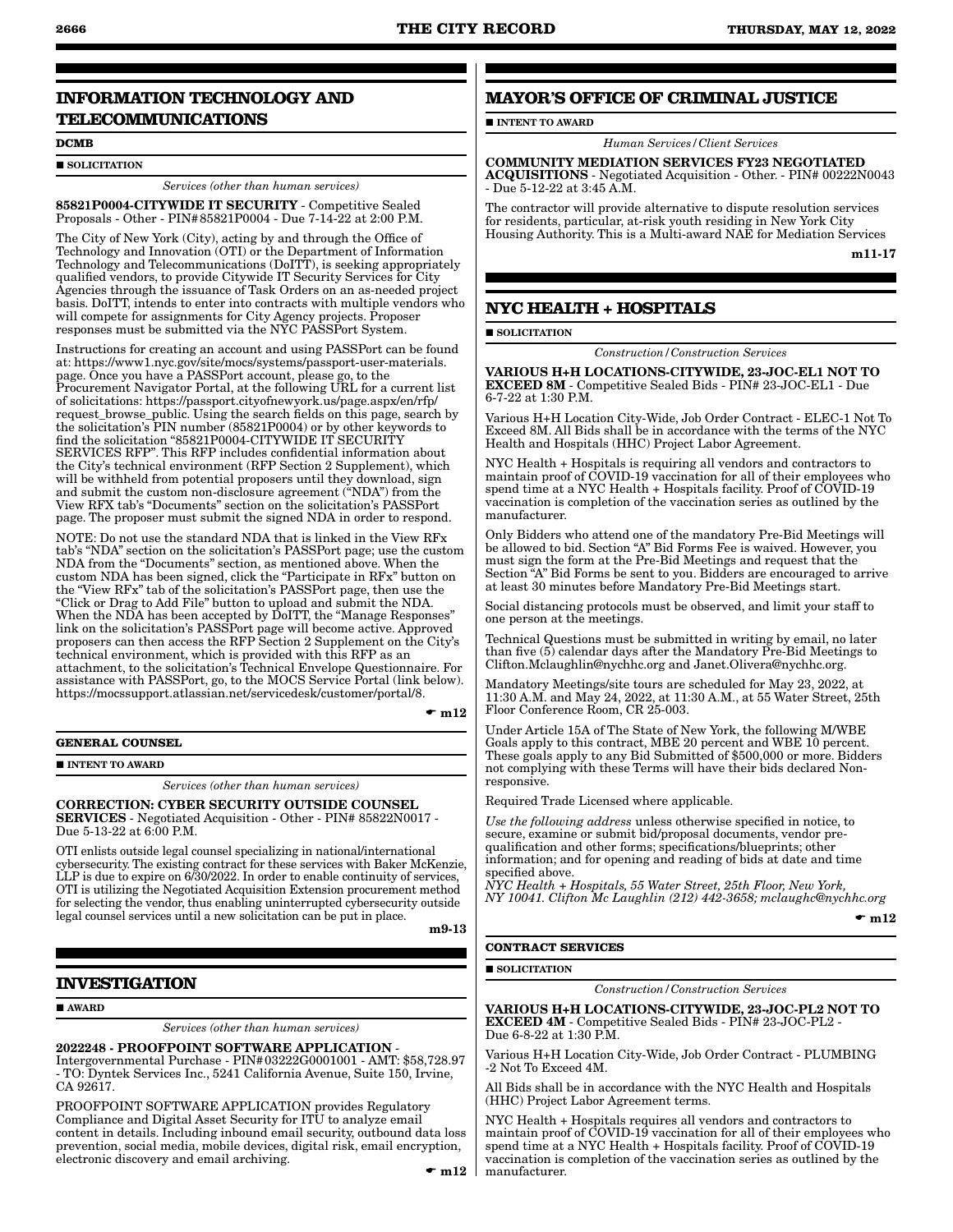### **INFORMATION TECHNOLOGY AND TELECOMMUNICATIONS**

#### **DCMB**

#### $\blacksquare$  SOLICITATION

*Services (other than human services)*

85821P0004-CITYWIDE IT SECURITY - Competitive Sealed Proposals - Other - PIN#85821P0004 - Due 7-14-22 at 2:00 P.M.

The City of New York (City), acting by and through the Office of Technology and Innovation (OTI) or the Department of Information Technology and Telecommunications (DoITT), is seeking appropriately qualified vendors, to provide Citywide IT Security Services for City Agencies through the issuance of Task Orders on an as-needed project basis. DoITT, intends to enter into contracts with multiple vendors who will compete for assignments for City Agency projects. Proposer responses must be submitted via the NYC PASSPort System.

Instructions for creating an account and using PASSPort can be found at: https://www1.nyc.gov/site/mocs/systems/passport-user-materials. page. Once you have a PASSPort account, please go, to the Procurement Navigator Portal, at the following URL for a current list of solicitations: https://passport.cityofnewyork.us/page.aspx/en/rfp/ request\_browse\_public. Using the search fields on this page, search by the solicitation's PIN number (85821P0004) or by other keywords to find the solicitation "85821P0004-CITYWIDE IT SECURITY SERVICES RFP". This RFP includes confidential information about the City's technical environment (RFP Section 2 Supplement), which will be withheld from potential proposers until they download, sign and submit the custom non-disclosure agreement ("NDA") from the View RFX tab's "Documents" section on the solicitation's PASSPort page. The proposer must submit the signed NDA in order to respond.

NOTE: Do not use the standard NDA that is linked in the View RFx tab's "NDA" section on the solicitation's PASSPort page; use the custom NDA from the "Documents" section, as mentioned above. When the custom NDA has been signed, click the "Participate in RFx" button on the "View RFx" tab of the solicitation's PASSPort page, then use the "Click or Drag to Add File" button to upload and submit the NDA. When the NDA has been accepted by DoITT, the "Manage Responses" link on the solicitation's PASSPort page will become active. Approved proposers can then access the RFP Section 2 Supplement on the City's technical environment, which is provided with this RFP as an attachment, to the solicitation's Technical Envelope Questionnaire. For assistance with PASSPort, go, to the MOCS Service Portal (link below). https://mocssupport.atlassian.net/servicedesk/customer/portal/8.

 $\bullet$  m12

#### **GENERAL COUNSEL**

**INTENT TO AWARD** 

*Services (other than human services)*

CORRECTION: CYBER SECURITY OUTSIDE COUNSEL SERVICES - Negotiated Acquisition - Other - PIN# 85822N0017 - Due 5-13-22 at 6:00 P.M.

OTI enlists outside legal counsel specializing in national/international cybersecurity. The existing contract for these services with Baker McKenzie, LLP is due to expire on 6/30/2022. In order to enable continuity of services, OTI is utilizing the Negotiated Acquisition Extension procurement method for selecting the vendor, thus enabling uninterrupted cybersecurity outside legal counsel services until a new solicitation can be put in place.

m9-13

### **INVESTIGATION**

#### **AWARD**

*Services (other than human services)*

2022248 - PROOFPOINT SOFTWARE APPLICATION - Intergovernmental Purchase - PIN#03222G0001001 - AMT: \$58,728.97 - TO: Dyntek Services Inc., 5241 California Avenue, Suite 150, Irvine, CA 92617.

PROOFPOINT SOFTWARE APPLICATION provides Regulatory Compliance and Digital Asset Security for ITU to analyze email content in details. Including inbound email security, outbound data loss prevention, social media, mobile devices, digital risk, email encryption, electronic discovery and email archiving.

### **MAYOR'S OFFICE OF CRIMINAL JUSTICE**

### **INTENT TO AWARD**

*Human Services/Client Services*

COMMUNITY MEDIATION SERVICES FY23 NEGOTIATED ACQUISITIONS - Negotiated Acquisition - Other. - PIN# 00222N0043 - Due 5-12-22 at 3:45 A.M.

The contractor will provide alternative to dispute resolution services for residents, particular, at-risk youth residing in New York City Housing Authority. This is a Multi-award NAE for Mediation Services

m11-17

## **NYC HEALTH + HOSPITALS**

#### SOLICITATION

*Construction/Construction Services*

VARIOUS H+H LOCATIONS-CITYWIDE, 23-JOC-EL1 NOT TO EXCEED 8M - Competitive Sealed Bids - PIN# 23-JOC-EL1 - Due 6-7-22 at 1:30 P.M.

Various H+H Location City-Wide, Job Order Contract - ELEC-1 Not To Exceed 8M. All Bids shall be in accordance with the terms of the NYC Health and Hospitals (HHC) Project Labor Agreement.

NYC Health + Hospitals is requiring all vendors and contractors to maintain proof of COVID-19 vaccination for all of their employees who spend time at a NYC Health + Hospitals facility. Proof of COVID-19 vaccination is completion of the vaccination series as outlined by the manufacturer.

Only Bidders who attend one of the mandatory Pre-Bid Meetings will be allowed to bid. Section "A" Bid Forms Fee is waived. However, you must sign the form at the Pre-Bid Meetings and request that the Section "A" Bid Forms be sent to you. Bidders are encouraged to arrive at least 30 minutes before Mandatory Pre-Bid Meetings start.

Social distancing protocols must be observed, and limit your staff to one person at the meetings.

Technical Questions must be submitted in writing by email, no later than five (5) calendar days after the Mandatory Pre-Bid Meetings to Clifton.Mclaughlin@nychhc.org and Janet.Olivera@nychhc.org.

Mandatory Meetings/site tours are scheduled for May 23, 2022, at 11:30 A.M. and May 24, 2022, at 11:30 A.M., at 55 Water Street, 25th Floor Conference Room, CR 25-003.

Under Article 15A of The State of New York, the following M/WBE Goals apply to this contract, MBE 20 percent and WBE 10 percent. These goals apply to any Bid Submitted of \$500,000 or more. Bidders not complying with these Terms will have their bids declared Nonresponsive.

Required Trade Licensed where applicable.

*Use the following address* unless otherwise specified in notice, to secure, examine or submit bid/proposal documents, vendor prequalification and other forms; specifications/blueprints; other information; and for opening and reading of bids at date and time specified above.

*NYC Health + Hospitals, 55 Water Street, 25th Floor, New York, NY 10041. Clifton Mc Laughlin (212) 442-3658; mclaughc@nychhc.org*

 $\mathbf{m}12$ 

#### **CONTRACT SERVICES**

#### SOLICITATION

*Construction/Construction Services*

VARIOUS H+H LOCATIONS-CITYWIDE, 23-JOC-PL2 NOT TO EXCEED 4M - Competitive Sealed Bids - PIN# 23-JOC-PL2 - Due 6-8-22 at 1:30 P.M.

Various H+H Location City-Wide, Job Order Contract - PLUMBING -2 Not To Exceed 4M.

All Bids shall be in accordance with the NYC Health and Hospitals (HHC) Project Labor Agreement terms.

NYC Health + Hospitals requires all vendors and contractors to maintain proof of COVID-19 vaccination for all of their employees who spend time at a NYC Health + Hospitals facility. Proof of COVID-19 vaccination is completion of the vaccination series as outlined by the manufacturer.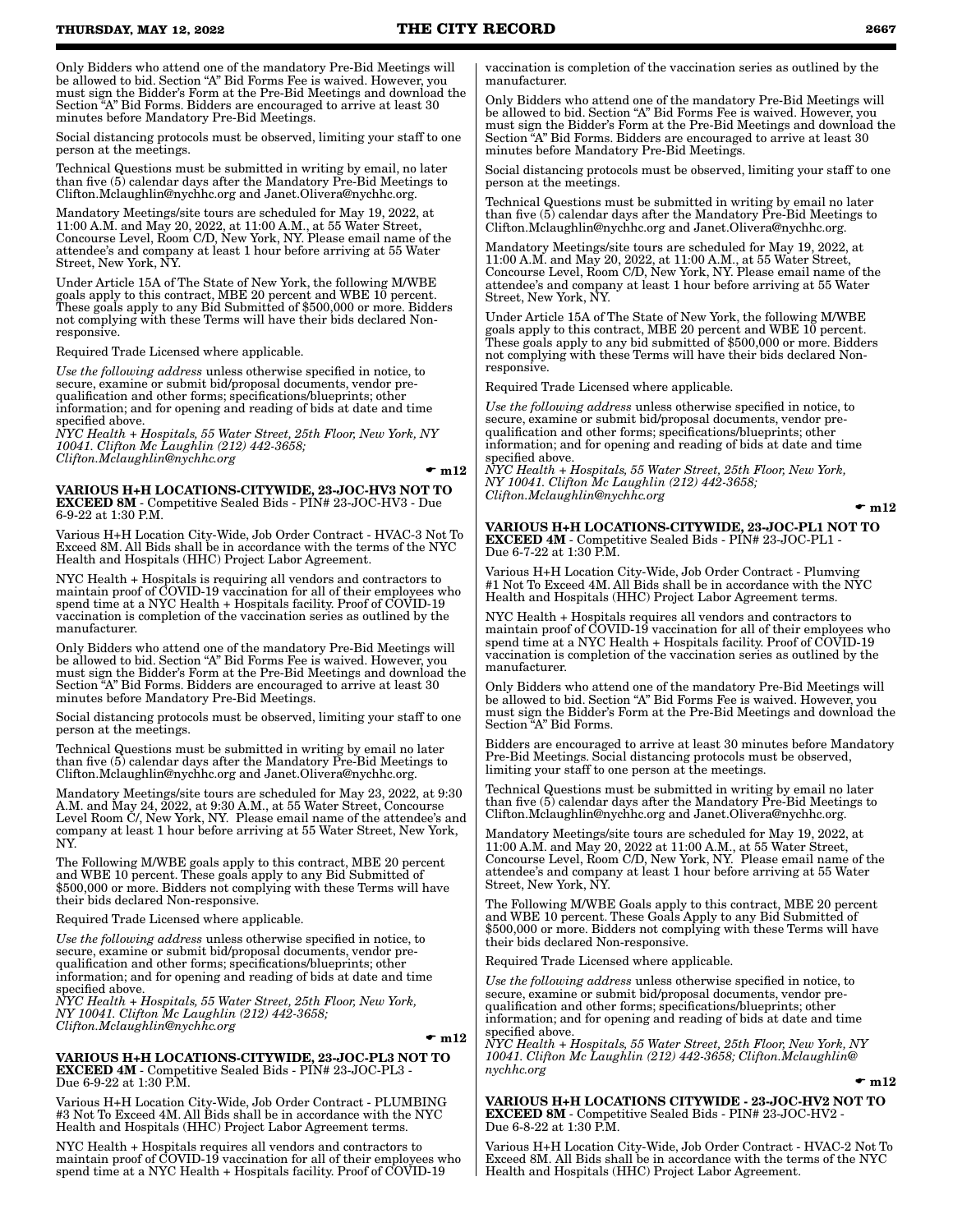Only Bidders who attend one of the mandatory Pre-Bid Meetings will be allowed to bid. Section "A" Bid Forms Fee is waived. However, you must sign the Bidder's Form at the Pre-Bid Meetings and download the Section "A" Bid Forms. Bidders are encouraged to arrive at least 30 minutes before Mandatory Pre-Bid Meetings.

Social distancing protocols must be observed, limiting your staff to one person at the meetings.

Technical Questions must be submitted in writing by email, no later than five (5) calendar days after the Mandatory Pre-Bid Meetings to Clifton.Mclaughlin@nychhc.org and Janet.Olivera@nychhc.org.

Mandatory Meetings/site tours are scheduled for May 19, 2022, at 11:00 A.M. and May 20, 2022, at 11:00 A.M., at 55 Water Street, Concourse Level, Room C/D, New York, NY. Please email name of the attendee's and company at least 1 hour before arriving at 55 Water Street, New York, NY.

Under Article 15A of The State of New York, the following M/WBE goals apply to this contract, MBE 20 percent and WBE 10 percent. These goals apply to any Bid Submitted of \$500,000 or more. Bidders not complying with these Terms will have their bids declared Nonresponsive.

Required Trade Licensed where applicable.

*Use the following address* unless otherwise specified in notice, to secure, examine or submit bid/proposal documents, vendor prequalification and other forms; specifications/blueprints; other information; and for opening and reading of bids at date and time specified above.

*NYC Health + Hospitals, 55 Water Street, 25th Floor, New York, NY 10041. Clifton Mc Laughlin (212) 442-3658; Clifton.Mclaughlin@nychhc.org*

#### $\mathbf{m}12$

VARIOUS H+H LOCATIONS-CITYWIDE, 23-JOC-HV3 NOT TO EXCEED 8M - Competitive Sealed Bids - PIN# 23-JOC-HV3 - Due 6-9-22 at 1:30 P.M.

Various H+H Location City-Wide, Job Order Contract - HVAC-3 Not To Exceed 8M. All Bids shall be in accordance with the terms of the NYC Health and Hospitals (HHC) Project Labor Agreement.

NYC Health + Hospitals is requiring all vendors and contractors to maintain proof of COVID-19 vaccination for all of their employees who spend time at a NYC Health + Hospitals facility. Proof of COVID-19 vaccination is completion of the vaccination series as outlined by the manufacturer.

Only Bidders who attend one of the mandatory Pre-Bid Meetings will be allowed to bid. Section "A" Bid Forms Fee is waived. However, you must sign the Bidder's Form at the Pre-Bid Meetings and download the Section "A" Bid Forms. Bidders are encouraged to arrive at least 30 minutes before Mandatory Pre-Bid Meetings.

Social distancing protocols must be observed, limiting your staff to one person at the meetings.

Technical Questions must be submitted in writing by email no later than five (5) calendar days after the Mandatory Pre-Bid Meetings to Clifton.Mclaughlin@nychhc.org and Janet.Olivera@nychhc.org.

Mandatory Meetings/site tours are scheduled for May 23, 2022, at 9:30 A.M. and May 24, 2022, at 9:30 A.M., at 55 Water Street, Concourse Level Room C/, New York, NY. Please email name of the attendee's and company at least 1 hour before arriving at 55 Water Street, New York, NY.

The Following M/WBE goals apply to this contract, MBE 20 percent and WBE 10 percent. These goals apply to any Bid Submitted of \$500,000 or more. Bidders not complying with these Terms will have their bids declared Non-responsive.

Required Trade Licensed where applicable.

*Use the following address* unless otherwise specified in notice, to secure, examine or submit bid/proposal documents, vendor prequalification and other forms; specifications/blueprints; other information; and for opening and reading of bids at date and time specified above.

*NYC Health + Hospitals, 55 Water Street, 25th Floor, New York, NY 10041. Clifton Mc Laughlin (212) 442-3658; Clifton.Mclaughlin@nychhc.org*

#### $\mathbf{m}12$

#### VARIOUS H+H LOCATIONS-CITYWIDE, 23-JOC-PL3 NOT TO EXCEED 4M - Competitive Sealed Bids - PIN# 23-JOC-PL3 - Due 6-9-22 at 1:30 P.M.

Various H+H Location City-Wide, Job Order Contract - PLUMBING #3 Not To Exceed 4M. All Bids shall be in accordance with the NYC Health and Hospitals (HHC) Project Labor Agreement terms.

NYC Health + Hospitals requires all vendors and contractors to maintain proof of COVID-19 vaccination for all of their employees who spend time at a NYC Health + Hospitals facility. Proof of COVID-19

vaccination is completion of the vaccination series as outlined by the manufacturer.

Only Bidders who attend one of the mandatory Pre-Bid Meetings will be allowed to bid. Section "A" Bid Forms Fee is waived. However, you must sign the Bidder's Form at the Pre-Bid Meetings and download the Section "A" Bid Forms. Bidders are encouraged to arrive at least 30 minutes before Mandatory Pre-Bid Meetings.

Social distancing protocols must be observed, limiting your staff to one person at the meetings.

Technical Questions must be submitted in writing by email no later than five (5) calendar days after the Mandatory Pre-Bid Meetings to Clifton.Mclaughlin@nychhc.org and Janet.Olivera@nychhc.org.

Mandatory Meetings/site tours are scheduled for May 19, 2022, at 11:00 A.M. and May 20, 2022, at 11:00 A.M., at 55 Water Street, Concourse Level, Room C/D, New York, NY. Please email name of the attendee's and company at least 1 hour before arriving at 55 Water Street, New York, NY.

Under Article 15A of The State of New York, the following M/WBE goals apply to this contract, MBE 20 percent and WBE 10 percent. These goals apply to any bid submitted of \$500,000 or more. Bidders not complying with these Terms will have their bids declared Nonresponsive.

Required Trade Licensed where applicable.

*Use the following address* unless otherwise specified in notice, to secure, examine or submit bid/proposal documents, vendor prequalification and other forms; specifications/blueprints; other information; and for opening and reading of bids at date and time specified above.

*NYC Health + Hospitals, 55 Water Street, 25th Floor, New York, NY 10041. Clifton Mc Laughlin (212) 442-3658; Clifton.Mclaughlin@nychhc.org*

 $\mathbf{m}12$ 

VARIOUS H+H LOCATIONS-CITYWIDE, 23-JOC-PL1 NOT TO EXCEED 4M - Competitive Sealed Bids - PIN# 23-JOC-PL1 - Due 6-7-22 at 1:30 P.M.

Various H+H Location City-Wide, Job Order Contract - Plumving #1 Not To Exceed 4M. All Bids shall be in accordance with the NYC Health and Hospitals (HHC) Project Labor Agreement terms.

NYC Health + Hospitals requires all vendors and contractors to maintain proof of COVID-19 vaccination for all of their employees who spend time at a NYC Health + Hospitals facility. Proof of COVID-19 vaccination is completion of the vaccination series as outlined by the manufacturer.

Only Bidders who attend one of the mandatory Pre-Bid Meetings will be allowed to bid. Section "A" Bid Forms Fee is waived. However, you must sign the Bidder's Form at the Pre-Bid Meetings and download the Section "A" Bid Forms.

Bidders are encouraged to arrive at least 30 minutes before Mandatory Pre-Bid Meetings. Social distancing protocols must be observed, limiting your staff to one person at the meetings.

Technical Questions must be submitted in writing by email no later than five (5) calendar days after the Mandatory Pre-Bid Meetings to Clifton.Mclaughlin@nychhc.org and Janet.Olivera@nychhc.org.

Mandatory Meetings/site tours are scheduled for May 19, 2022, at 11:00 A.M. and May 20, 2022 at 11:00 A.M., at 55 Water Street, Concourse Level, Room C/D, New York, NY. Please email name of the attendee's and company at least 1 hour before arriving at 55 Water Street, New York, NY.

The Following M/WBE Goals apply to this contract, MBE 20 percent and WBE 10 percent. These Goals Apply to any Bid Submitted of \$500,000 or more. Bidders not complying with these Terms will have their bids declared Non-responsive.

Required Trade Licensed where applicable.

*Use the following address* unless otherwise specified in notice, to secure, examine or submit bid/proposal documents, vendor prequalification and other forms; specifications/blueprints; other information; and for opening and reading of bids at date and time specified above.

*NYC Health + Hospitals, 55 Water Street, 25th Floor, New York, NY 10041. Clifton Mc Laughlin (212) 442-3658; Clifton.Mclaughlin@ nychhc.org*

VARIOUS H+H LOCATIONS CITYWIDE - 23-JOC-HV2 NOT TO EXCEED 8M - Competitive Sealed Bids - PIN# 23-JOC-HV2 - Due 6-8-22 at 1:30 P.M.

Various H+H Location City-Wide, Job Order Contract - HVAC-2 Not To Exceed 8M. All Bids shall be in accordance with the terms of the NYC Health and Hospitals (HHC) Project Labor Agreement.

 $\mathbf{m}12$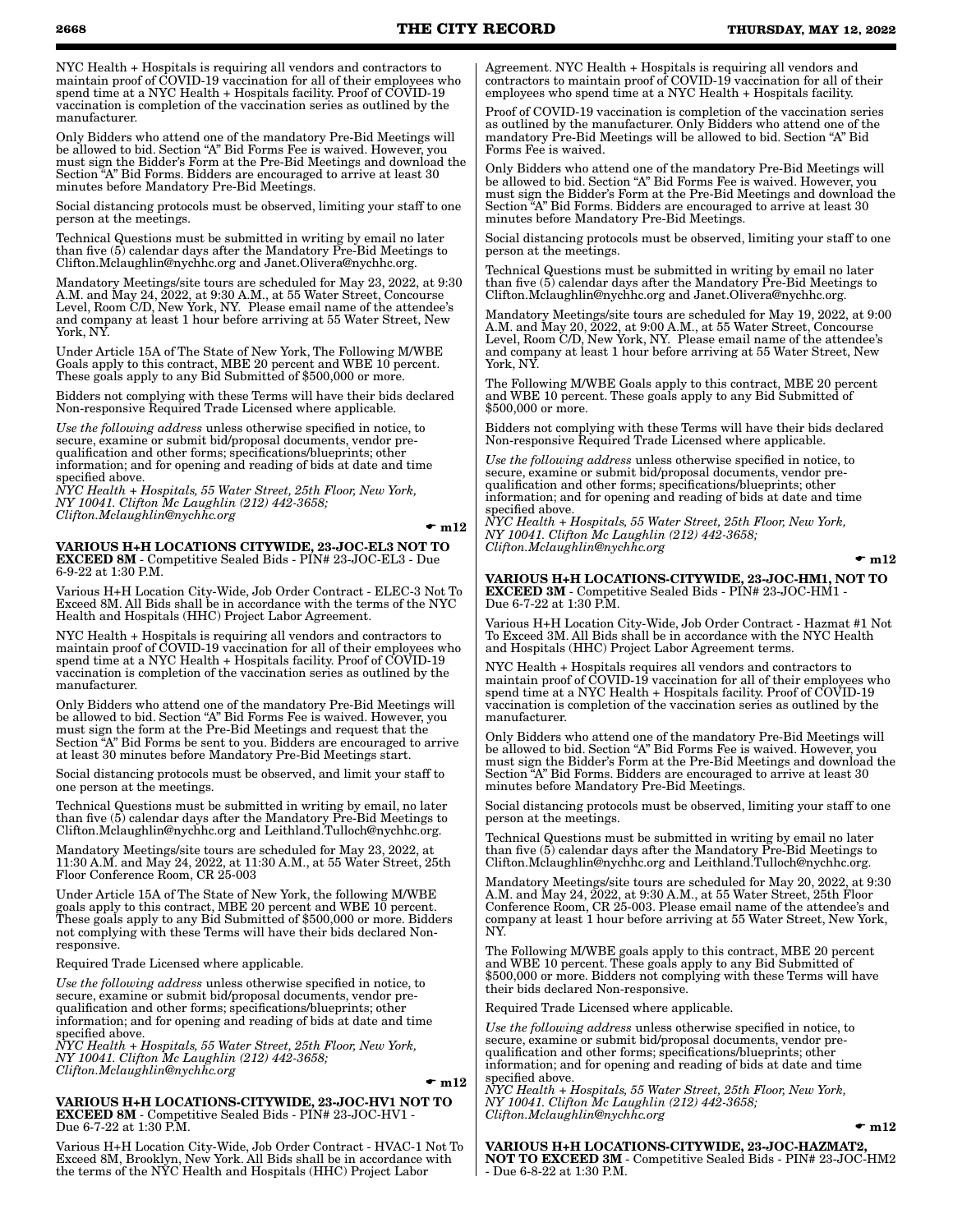NYC Health + Hospitals is requiring all vendors and contractors to maintain proof of COVID-19 vaccination for all of their employees who spend time at a NYC Health + Hospitals facility. Proof of COVID-19 vaccination is completion of the vaccination series as outlined by the manufacturer.

Only Bidders who attend one of the mandatory Pre-Bid Meetings will be allowed to bid. Section "A" Bid Forms Fee is waived. However, you must sign the Bidder's Form at the Pre-Bid Meetings and download the Section "A" Bid Forms. Bidders are encouraged to arrive at least 30 minutes before Mandatory Pre-Bid Meetings.

Social distancing protocols must be observed, limiting your staff to one person at the meetings.

Technical Questions must be submitted in writing by email no later than five (5) calendar days after the Mandatory Pre-Bid Meetings to Clifton.Mclaughlin@nychhc.org and Janet.Olivera@nychhc.org.

Mandatory Meetings/site tours are scheduled for May 23, 2022, at 9:30 A.M. and May 24, 2022, at 9:30 A.M., at 55 Water Street, Concourse Level, Room C/D, New York, NY. Please email name of the attendee's and company at least 1 hour before arriving at 55 Water Street, New York, NY.

Under Article 15A of The State of New York, The Following M/WBE Goals apply to this contract, MBE 20 percent and WBE 10 percent. These goals apply to any Bid Submitted of \$500,000 or more.

Bidders not complying with these Terms will have their bids declared Non-responsive Required Trade Licensed where applicable.

*Use the following address* unless otherwise specified in notice, to secure, examine or submit bid/proposal documents, vendor prequalification and other forms; specifications/blueprints; other information; and for opening and reading of bids at date and time specified above.

*NYC Health + Hospitals, 55 Water Street, 25th Floor, New York, NY 10041. Clifton Mc Laughlin (212) 442-3658; Clifton.Mclaughlin@nychhc.org*

#### $\mathbf{m}12$

VARIOUS H+H LOCATIONS CITYWIDE, 23-JOC-EL3 NOT TO EXCEED 8M - Competitive Sealed Bids - PIN# 23-JOC-EL3 - Due 6-9-22 at 1:30 P.M.

Various H+H Location City-Wide, Job Order Contract - ELEC-3 Not To Exceed 8M. All Bids shall be in accordance with the terms of the NYC Health and Hospitals (HHC) Project Labor Agreement.

NYC Health + Hospitals is requiring all vendors and contractors to maintain proof of COVID-19 vaccination for all of their employees who spend time at a NYC Health + Hospitals facility. Proof of COVID-19 vaccination is completion of the vaccination series as outlined by the manufacturer.

Only Bidders who attend one of the mandatory Pre-Bid Meetings will be allowed to bid. Section "A" Bid Forms Fee is waived. However, you must sign the form at the Pre-Bid Meetings and request that the Section "A" Bid Forms be sent to you. Bidders are encouraged to arrive at least 30 minutes before Mandatory Pre-Bid Meetings start.

Social distancing protocols must be observed, and limit your staff to one person at the meetings.

Technical Questions must be submitted in writing by email, no later than five (5) calendar days after the Mandatory Pre-Bid Meetings to Clifton.Mclaughlin@nychhc.org and Leithland.Tulloch@nychhc.org.

Mandatory Meetings/site tours are scheduled for May 23, 2022, at 11:30 A.M. and May 24, 2022, at 11:30 A.M., at 55 Water Street, 25th Floor Conference Room, CR 25-003

Under Article 15A of The State of New York, the following M/WBE goals apply to this contract, MBE 20 percent and WBE 10 percent. These goals apply to any Bid Submitted of \$500,000 or more. Bidders not complying with these Terms will have their bids declared Nonresponsive.

Required Trade Licensed where applicable.

*Use the following address* unless otherwise specified in notice, to secure, examine or submit bid/proposal documents, vendor prequalification and other forms; specifications/blueprints; other information; and for opening and reading of bids at date and time specified above.

*NYC Health + Hospitals, 55 Water Street, 25th Floor, New York, NY 10041. Clifton Mc Laughlin (212) 442-3658; Clifton.Mclaughlin@nychhc.org*

#### $\mathbf{m}12$

VARIOUS H+H LOCATIONS-CITYWIDE, 23-JOC-HV1 NOT TO EXCEED 8M - Competitive Sealed Bids - PIN# 23-JOC-HV1 - Due 6-7-22 at 1:30 P.M.

Various H+H Location City-Wide, Job Order Contract - HVAC-1 Not To Exceed 8M, Brooklyn, New York. All Bids shall be in accordance with the terms of the NYC Health and Hospitals (HHC) Project Labor

Agreement. NYC Health + Hospitals is requiring all vendors and contractors to maintain proof of COVID-19 vaccination for all of their employees who spend time at a NYC Health + Hospitals facility.

Proof of COVID-19 vaccination is completion of the vaccination series as outlined by the manufacturer. Only Bidders who attend one of the mandatory Pre-Bid Meetings will be allowed to bid. Section "A" Bid Forms Fee is waived.

Only Bidders who attend one of the mandatory Pre-Bid Meetings will be allowed to bid. Section "A" Bid Forms Fee is waived. However, you must sign the Bidder's Form at the Pre-Bid Meetings and download the Section "A" Bid Forms. Bidders are encouraged to arrive at least 30 minutes before Mandatory Pre-Bid Meetings.

Social distancing protocols must be observed, limiting your staff to one person at the meetings.

Technical Questions must be submitted in writing by email no later than five (5) calendar days after the Mandatory Pre-Bid Meetings to Clifton.Mclaughlin@nychhc.org and Janet.Olivera@nychhc.org.

Mandatory Meetings/site tours are scheduled for May 19, 2022, at 9:00 A.M. and May 20, 2022, at 9:00 A.M., at 55 Water Street, Concourse Level, Room C/D, New York, NY. Please email name of the attendee's and company at least 1 hour before arriving at 55 Water Street, New York, NY.

The Following M/WBE Goals apply to this contract, MBE 20 percent and WBE 10 percent. These goals apply to any Bid Submitted of \$500,000 or more.

Bidders not complying with these Terms will have their bids declared Non-responsive Required Trade Licensed where applicable.

*Use the following address* unless otherwise specified in notice, to secure, examine or submit bid/proposal documents, vendor prequalification and other forms; specifications/blueprints; other information; and for opening and reading of bids at date and time specified above.

*NYC Health + Hospitals, 55 Water Street, 25th Floor, New York, NY 10041. Clifton Mc Laughlin (212) 442-3658; Clifton.Mclaughlin@nychhc.org*

 $\mathbf{m}12$ 

VARIOUS H+H LOCATIONS-CITYWIDE, 23-JOC-HM1, NOT TO EXCEED 3M - Competitive Sealed Bids - PIN# 23-JOC-HM1 - Due 6-7-22 at 1:30 P.M.

Various H+H Location City-Wide, Job Order Contract - Hazmat #1 Not To Exceed 3M. All Bids shall be in accordance with the NYC Health and Hospitals (HHC) Project Labor Agreement terms.

NYC Health + Hospitals requires all vendors and contractors to maintain proof of COVID-19 vaccination for all of their employees who spend time at a NYC Health + Hospitals facility. Proof of COVID-19 vaccination is completion of the vaccination series as outlined by the manufacturer.

Only Bidders who attend one of the mandatory Pre-Bid Meetings will be allowed to bid. Section "A" Bid Forms Fee is waived. However, you must sign the Bidder's Form at the Pre-Bid Meetings and download the Section "A" Bid Forms. Bidders are encouraged to arrive at least 30 minutes before Mandatory Pre-Bid Meetings.

Social distancing protocols must be observed, limiting your staff to one person at the meetings.

Technical Questions must be submitted in writing by email no later than five (5) calendar days after the Mandatory Pre-Bid Meetings to Clifton.Mclaughlin@nychhc.org and Leithland.Tulloch@nychhc.org.

Mandatory Meetings/site tours are scheduled for May 20, 2022, at 9:30 A.M. and May 24, 2022, at 9:30 A.M., at 55 Water Street, 25th Floor Conference Room, CR 25-003. Please email name of the attendee's and company at least 1 hour before arriving at 55 Water Street, New York, NY.

The Following M/WBE goals apply to this contract, MBE 20 percent and WBE 10 percent. These goals apply to any Bid Submitted of \$500,000 or more. Bidders not complying with these Terms will have their bids declared Non-responsive.

Required Trade Licensed where applicable.

*Use the following address* unless otherwise specified in notice, to secure, examine or submit bid/proposal documents, vendor prequalification and other forms; specifications/blueprints; other information; and for opening and reading of bids at date and time specified above.

*NYC Health + Hospitals, 55 Water Street, 25th Floor, New York, NY 10041. Clifton Mc Laughlin (212) 442-3658; Clifton.Mclaughlin@nychhc.org*

 $\bullet$  m12

VARIOUS H+H LOCATIONS-CITYWIDE, 23-JOC-HAZMAT2, NOT TO EXCEED 3M - Competitive Sealed Bids - PIN# 23-JOC-HM2 - Due 6-8-22 at 1:30 P.M.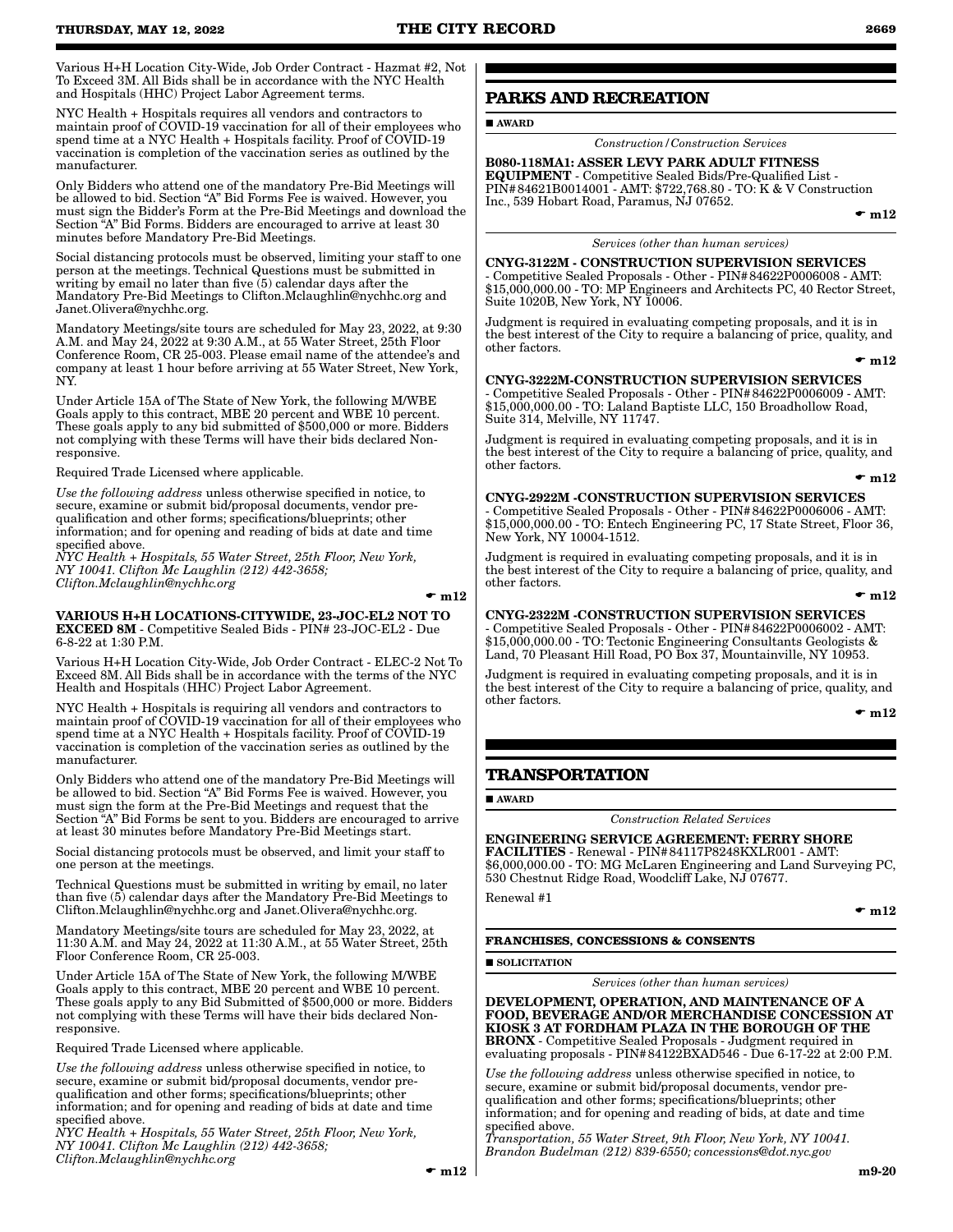Various H+H Location City-Wide, Job Order Contract - Hazmat #2, Not To Exceed 3M. All Bids shall be in accordance with the NYC Health and Hospitals (HHC) Project Labor Agreement terms.

NYC Health + Hospitals requires all vendors and contractors to maintain proof of COVID-19 vaccination for all of their employees who spend time at a NYC Health + Hospitals facility. Proof of COVID-19 vaccination is completion of the vaccination series as outlined by the manufacturer.

Only Bidders who attend one of the mandatory Pre-Bid Meetings will be allowed to bid. Section "A" Bid Forms Fee is waived. However, you must sign the Bidder's Form at the Pre-Bid Meetings and download the Section "A" Bid Forms. Bidders are encouraged to arrive at least 30 minutes before Mandatory Pre-Bid Meetings.

Social distancing protocols must be observed, limiting your staff to one person at the meetings. Technical Questions must be submitted in writing by email no later than five (5) calendar days after the Mandatory Pre-Bid Meetings to Clifton.Mclaughlin@nychhc.org and Janet.Olivera@nychhc.org.

Mandatory Meetings/site tours are scheduled for May 23, 2022, at 9:30 A.M. and May 24, 2022 at 9:30 A.M., at 55 Water Street, 25th Floor Conference Room, CR 25-003. Please email name of the attendee's and company at least 1 hour before arriving at 55 Water Street, New York, NY.

Under Article 15A of The State of New York, the following M/WBE Goals apply to this contract, MBE 20 percent and WBE 10 percent. These goals apply to any bid submitted of \$500,000 or more. Bidders not complying with these Terms will have their bids declared Nonresponsive.

Required Trade Licensed where applicable.

*Use the following address* unless otherwise specified in notice, to secure, examine or submit bid/proposal documents, vendor prequalification and other forms; specifications/blueprints; other information; and for opening and reading of bids at date and time specified above.

*NYC Health + Hospitals, 55 Water Street, 25th Floor, New York, NY 10041. Clifton Mc Laughlin (212) 442-3658; Clifton.Mclaughlin@nychhc.org*

 $\mathbf{m}$  m 12

VARIOUS H+H LOCATIONS-CITYWIDE, 23-JOC-EL2 NOT TO EXCEED 8M - Competitive Sealed Bids - PIN# 23-JOC-EL2 - Due 6-8-22 at 1:30 P.M.

Various H+H Location City-Wide, Job Order Contract - ELEC-2 Not To Exceed 8M. All Bids shall be in accordance with the terms of the NYC Health and Hospitals (HHC) Project Labor Agreement.

NYC Health + Hospitals is requiring all vendors and contractors to maintain proof of COVID-19 vaccination for all of their employees who spend time at a NYC Health + Hospitals facility. Proof of COVID-19 vaccination is completion of the vaccination series as outlined by the manufacturer.

Only Bidders who attend one of the mandatory Pre-Bid Meetings will be allowed to bid. Section "A" Bid Forms Fee is waived. However, you must sign the form at the Pre-Bid Meetings and request that the Section "A" Bid Forms be sent to you. Bidders are encouraged to arrive at least 30 minutes before Mandatory Pre-Bid Meetings start.

Social distancing protocols must be observed, and limit your staff to one person at the meetings.

Technical Questions must be submitted in writing by email, no later than five (5) calendar days after the Mandatory Pre-Bid Meetings to Clifton.Mclaughlin@nychhc.org and Janet.Olivera@nychhc.org.

Mandatory Meetings/site tours are scheduled for May 23, 2022, at 11:30 A.M. and May 24, 2022 at 11:30 A.M., at 55 Water Street, 25th Floor Conference Room, CR 25-003.

Under Article 15A of The State of New York, the following M/WBE Goals apply to this contract, MBE 20 percent and WBE 10 percent. These goals apply to any Bid Submitted of \$500,000 or more. Bidders not complying with these Terms will have their bids declared Nonresponsive.

Required Trade Licensed where applicable.

*Use the following address* unless otherwise specified in notice, to secure, examine or submit bid/proposal documents, vendor prequalification and other forms; specifications/blueprints; other information; and for opening and reading of bids at date and time specified above.

*NYC Health + Hospitals, 55 Water Street, 25th Floor, New York, NY 10041. Clifton Mc Laughlin (212) 442-3658; Clifton.Mclaughlin@nychhc.org*

### **PARKS AND RECREATION**

AWARD

*Construction/Construction Services*

B080-118MA1: ASSER LEVY PARK ADULT FITNESS EQUIPMENT - Competitive Sealed Bids/Pre-Qualified List - PIN#84621B0014001 - AMT: \$722,768.80 - TO: K & V Construction Inc., 539 Hobart Road, Paramus, NJ 07652.

 $\bullet$  m12

#### *Services (other than human services)*

CNYG-3122M - CONSTRUCTION SUPERVISION SERVICES - Competitive Sealed Proposals - Other - PIN#84622P0006008 - AMT: \$15,000,000.00 - TO: MP Engineers and Architects PC, 40 Rector Street, Suite 1020B, New York, NY 10006.

Judgment is required in evaluating competing proposals, and it is in the best interest of the City to require a balancing of price, quality, and other factors.

 $\mathbf{m}12$ 

CNYG-3222M-CONSTRUCTION SUPERVISION SERVICES - Competitive Sealed Proposals - Other - PIN#84622P0006009 - AMT: \$15,000,000.00 - TO: Laland Baptiste LLC, 150 Broadhollow Road, Suite 314, Melville, NY 11747.

Judgment is required in evaluating competing proposals, and it is in the best interest of the City to require a balancing of price, quality, and other factors.

 $\mathbf{m}12$ 

CNYG-2922M -CONSTRUCTION SUPERVISION SERVICES - Competitive Sealed Proposals - Other - PIN#84622P0006006 - AMT: \$15,000,000.00 - TO: Entech Engineering PC, 17 State Street, Floor 36, New York, NY 10004-1512.

Judgment is required in evaluating competing proposals, and it is in the best interest of the City to require a balancing of price, quality, and other factors.

 $\mathbf{r}$  m12

CNYG-2322M -CONSTRUCTION SUPERVISION SERVICES - Competitive Sealed Proposals - Other - PIN#84622P0006002 - AMT: \$15,000,000.00 - TO: Tectonic Engineering Consultants Geologists & Land, 70 Pleasant Hill Road, PO Box 37, Mountainville, NY 10953.

Judgment is required in evaluating competing proposals, and it is in the best interest of the City to require a balancing of price, quality, and other factors.

 $\bullet$  m12

### **TRANSPORTATION**

AWARD

*Construction Related Services*

ENGINEERING SERVICE AGREEMENT: FERRY SHORE FACILITIES - Renewal - PIN#84117P8248KXLR001 - AMT: \$6,000,000.00 - TO: MG McLaren Engineering and Land Surveying PC, 530 Chestnut Ridge Road, Woodcliff Lake, NJ 07677.

Renewal #1

 $\mathbf{m}$  m12

### **FRANCHISES, CONCESSIONS & CONSENTS**

**SOLICITATION** 

*Services (other than human services)*

DEVELOPMENT, OPERATION, AND MAINTENANCE OF A FOOD, BEVERAGE AND/OR MERCHANDISE CONCESSION AT KIOSK 3 AT FORDHAM PLAZA IN THE BOROUGH OF THE BRONX - Competitive Sealed Proposals - Judgment required in evaluating proposals - PIN#84122BXAD546 - Due 6-17-22 at 2:00 P.M.

*Use the following address* unless otherwise specified in notice, to secure, examine or submit bid/proposal documents, vendor prequalification and other forms; specifications/blueprints; other information; and for opening and reading of bids, at date and time specified above.

*Transportation, 55 Water Street, 9th Floor, New York, NY 10041. Brandon Budelman (212) 839-6550; concessions@dot.nyc.gov*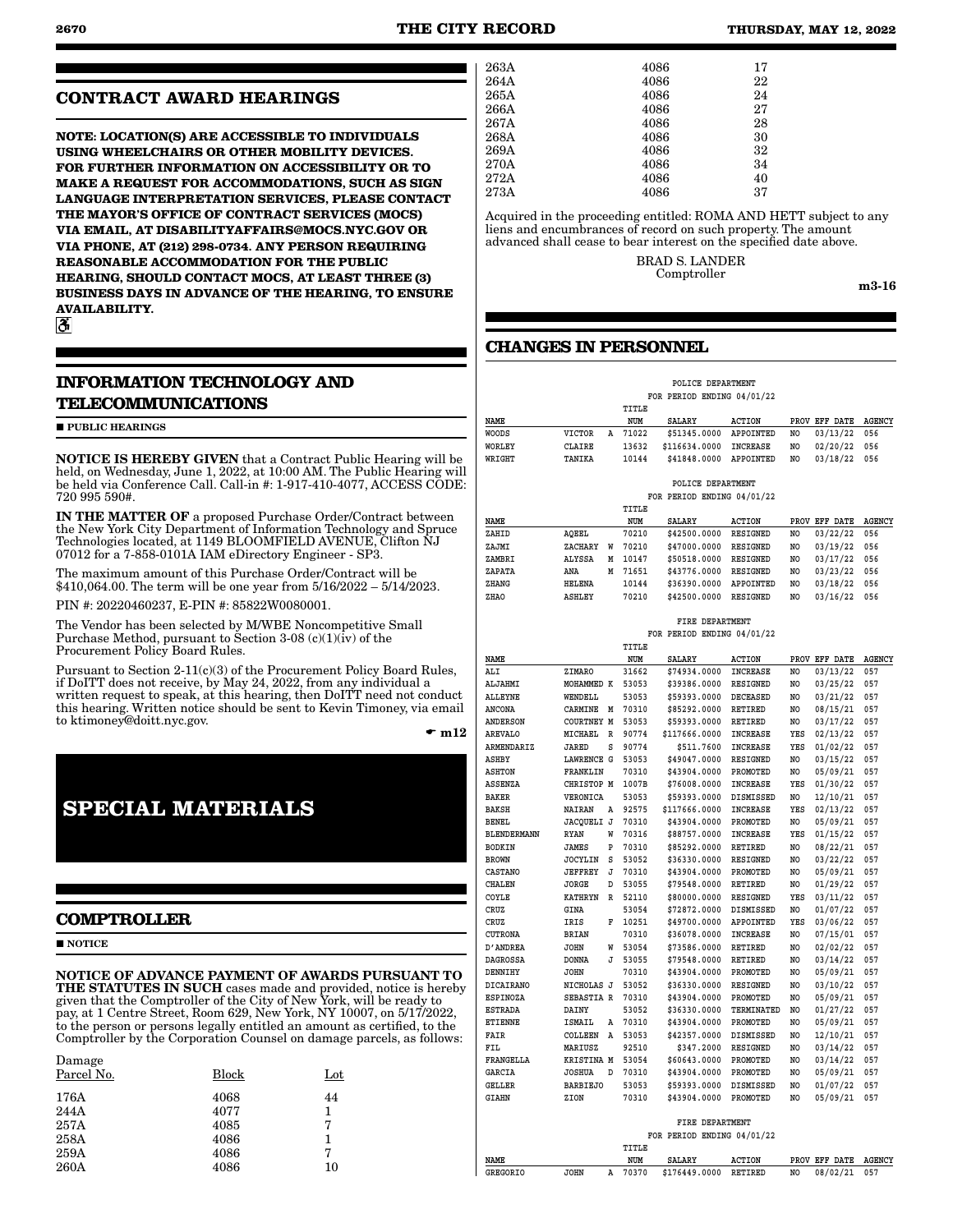### **CONTRACT AWARD HEARINGS**

**NOTE: LOCATION(S) ARE ACCESSIBLE TO INDIVIDUALS USING WHEELCHAIRS OR OTHER MOBILITY DEVICES. FOR FURTHER INFORMATION ON ACCESSIBILITY OR TO MAKE A REQUEST FOR ACCOMMODATIONS, SUCH AS SIGN LANGUAGE INTERPRETATION SERVICES, PLEASE CONTACT THE MAYOR'S OFFICE OF CONTRACT SERVICES (MOCS) VIA EMAIL, AT DISABILITYAFFAIRS@MOCS.NYC.GOV OR VIA PHONE, AT (212) 298-0734. ANY PERSON REQUIRING REASONABLE ACCOMMODATION FOR THE PUBLIC HEARING, SHOULD CONTACT MOCS, AT LEAST THREE (3) BUSINESS DAYS IN ADVANCE OF THE HEARING, TO ENSURE AVAILABILITY.**

 $\mathbf{a}$ 

## **INFORMATION TECHNOLOGY AND TELECOMMUNICATIONS**

**PUBLIC HEARINGS** 

NOTICE IS HEREBY GIVEN that a Contract Public Hearing will be held, on Wednesday, June 1, 2022, at 10:00 AM. The Public Hearing will be held via Conference Call. Call-in #: 1-917-410-4077, ACCESS CODE: 720 995 590#.

IN THE MATTER OF a proposed Purchase Order/Contract between the New York City Department of Information Technology and Spruce Technologies located, at 1149 BLOOMFIELD AVENUE, Clifton NJ 07012 for a 7-858-0101A IAM eDirectory Engineer - SP3.

The maximum amount of this Purchase Order/Contract will be \$410,064.00. The term will be one year from 5/16/2022 – 5/14/2023.

PIN #: 20220460237, E-PIN #: 85822W0080001.

The Vendor has been selected by M/WBE Noncompetitive Small Purchase Method, pursuant to Section 3-08 (c)(1)(iv) of the Procurement Policy Board Rules.

Pursuant to Section 2-11(c)(3) of the Procurement Policy Board Rules, if DoITT does not receive, by May 24, 2022, from any individual a written request to speak, at this hearing, then DoITT need not conduct this hearing. Written notice should be sent to Kevin Timoney, via email to ktimoney@doitt.nyc.gov.

 $\bullet$  m12

## **SPECIAL MATERIALS**

#### **COMPTROLLER**

**NOTICE** 

 $\mathbf{D}$ 

NOTICE OF ADVANCE PAYMENT OF AWARDS PURSUANT TO THE STATUTES IN SUCH cases made and provided, notice is hereby given that the Comptroller of the City of New York, will be ready to pay, at 1 Centre Street, Room 629, New York, NY 10007, on 5/17/2022, to the person or persons legally entitled an amount as certified, to the Comptroller by the Corporation Counsel on damage parcels, as follows:

| Damage<br>Parcel No. | Block | Lot |
|----------------------|-------|-----|
| 176A                 | 4068  | 44  |
| 244A                 | 4077  | 1   |
| 257A                 | 4085  | 7   |
| 258A                 | 4086  |     |
| 259A                 | 4086  | 7   |
| 260A                 | 4086  | 10  |

| 263A | 4086 | 17 |
|------|------|----|
| 264A | 4086 | 22 |
| 265A | 4086 | 24 |
| 266A | 4086 | 27 |
| 267A | 4086 | 28 |
| 268A | 4086 | 30 |
| 269A | 4086 | 32 |
| 270A | 4086 | 34 |
| 272A | 4086 | 40 |
| 273A | 4086 | 37 |
|      |      |    |

Acquired in the proceeding entitled: ROMA AND HETT subject to any liens and encumbrances of record on such property. The amount advanced shall cease to bear interest on the specified date above.

> BRAD S. LANDER Comptroller

m3-16

### **CHANGES IN PERSONNEL**

|        |               |   |       | POLICE DEPARTMENT          |                 |      |               |               |
|--------|---------------|---|-------|----------------------------|-----------------|------|---------------|---------------|
|        |               |   |       | FOR PERIOD ENDING 04/01/22 |                 |      |               |               |
|        |               |   | TITLE |                            |                 |      |               |               |
| NAME   |               |   | NUM   | SALARY                     | <b>ACTION</b>   |      | PROV EFF DATE | <b>AGENCY</b> |
| WOODS  | <b>VICTOR</b> | А | 71022 | \$51345.0000               | APPOINTED       | NO   | 03/13/22      | 056           |
| WORLEY | <b>CLAIRE</b> |   | 13632 | \$116634.0000              | <b>INCREASE</b> | NO   | 02/20/22      | 056           |
| WRIGHT | TANIKA        |   | 10144 | \$41848,0000               | APPOINTED       | NO   | 03/18/22      | 056           |
|        |               |   |       |                            |                 |      |               |               |
|        |               |   |       | POLICE DEPARTMENT          |                 |      |               |               |
|        |               |   |       | FOR PERIOD ENDING 04/01/22 |                 |      |               |               |
|        |               |   | TITLE |                            |                 |      |               |               |
| NAME   |               |   | NUM   | SALARY                     | <b>ACTION</b>   | PROV | EFF DATE      | <b>AGENCY</b> |
| ZAHID  | AQEEL         |   | 70210 | \$42500.0000               | RESIGNED        | NO   | 03/22/22      | 056           |
| ZAJMI  | ZACHARY       | W | 70210 | \$47000.0000               | <b>RESIGNED</b> | NO   | 03/19/22      | 056           |
| ZAMBRI | <b>ALYSSA</b> | M | 10147 | \$50518,0000               | <b>RESIGNED</b> | NO   | 03/17/22      | 056           |
| ZAPATA | ANA           | M | 71651 | \$43776.0000               | <b>RESIGNED</b> | NO   | 03/23/22      | 056           |
| ZHANG  | <b>HELENA</b> |   | 10144 | \$36390.0000               | APPOINTED       | NO   | 03/18/22      | 056           |
| ZHAO   | ASHLEY        |   | 70210 | \$42500.0000               | <b>RESIGNED</b> | NO   | 03/16/22      | 056           |
|        |               |   |       |                            |                 |      |               |               |

 **FIRE DEPARTMENT**

|                    |                   |   |       | FOR PERIOD ENDING 04/01/22 |                  |     |               |               |
|--------------------|-------------------|---|-------|----------------------------|------------------|-----|---------------|---------------|
|                    |                   |   | TITLE |                            |                  |     |               |               |
| NAME               |                   |   | NUM   | <b>SALARY</b>              | <b>ACTION</b>    |     | PROV EFF DATE | <b>AGENCY</b> |
| ALI                | ZIMARO            |   | 31662 | \$74934.0000               | <b>INCREASE</b>  | NO  | 03/13/22      | 057           |
| <b>ALJAHMI</b>     | MOHAMMED K        |   | 53053 | \$39386.0000               | <b>RESIGNED</b>  | NO  | 03/25/22      | 057           |
| <b>ALLEYNE</b>     | WENDELL           |   | 53053 | \$59393.0000               | <b>DECEASED</b>  | NO  | 03/21/22      | 057           |
| <b>ANCONA</b>      | CARMINE           | M | 70310 | \$85292.0000               | RETIRED          | NO  | 08/15/21      | 057           |
| <b>ANDERSON</b>    | <b>COURTNEY M</b> |   | 53053 | \$59393.0000               | RETIRED          | NO  | 03/17/22      | 057           |
| <b>AREVALO</b>     | MICHAEL           | R | 90774 | \$117666.0000              | INCREASE         | YES | 02/13/22      | 057           |
| <b>ARMENDARIZ</b>  | JARED             | S | 90774 | \$511.7600                 | INCREASE         | YES | 01/02/22      | 057           |
| ASHBY              | <b>LAWRENCE G</b> |   | 53053 | \$49047.0000               | <b>RESIGNED</b>  | NO  | 03/15/22      | 057           |
| <b>ASHTON</b>      | FRANKLIN          |   | 70310 | \$43904.0000               | PROMOTED         | NO  | 05/09/21      | 057           |
| ASSENZA            | CHRISTOP M        |   | 1007B | \$76008.0000               | INCREASE         | YES | 01/30/22      | 057           |
| <b>BAKER</b>       | VERONICA          |   | 53053 | \$59393.0000               | DISMISSED        | NO  | 12/10/21      | 057           |
| <b>BAKSH</b>       | NAIRAN            | Α | 92575 | \$117666.0000              | INCREASE         | YES | 02/13/22      | 057           |
| BENEL              | JACQUELI J        |   | 70310 | \$43904.0000               | PROMOTED         | NO  | 05/09/21      | 057           |
| <b>BLENDERMANN</b> | <b>RYAN</b>       | W | 70316 | \$88757.0000               | INCREASE         | YES | 01/15/22      | 057           |
| <b>BODKIN</b>      | <b>JAMES</b>      | P | 70310 | \$85292.0000               | <b>RETIRED</b>   | NO  | 08/22/21      | 057           |
| <b>BROWN</b>       | <b>JOCYLIN</b>    | S | 53052 | \$36330.0000               | <b>RESIGNED</b>  | NO  | 03/22/22      | 057           |
| <b>CASTANO</b>     | <b>JEFFREY</b>    | J | 70310 | \$43904.0000               | PROMOTED         | NO  | 05/09/21      | 057           |
| <b>CHALEN</b>      | JORGE             | D | 53055 | \$79548.0000               | RETIRED          | NO  | 01/29/22      | 057           |
| COYLE              | KATHRYN           | R | 52110 | \$80000.0000               | RESIGNED         | YES | 03/11/22      | 057           |
| CRUZ               | GINA              |   | 53054 | \$72872.0000               | <b>DISMISSED</b> | NO  | 01/07/22      | 057           |
| CRUZ               | IRIS              | F | 10251 | \$49700.0000               | APPOINTED        | YES | 03/06/22      | 057           |
| <b>CUTRONA</b>     | <b>BRIAN</b>      |   | 70310 | \$36078.0000               | <b>INCREASE</b>  | NO  | 07/15/01      | 057           |
| D′ANDREA           | <b>JOHN</b>       | W | 53054 | \$73586.0000               | RETIRED          | NO  | 02/02/22      | 057           |
| DAGROSSA           | DONNA             | J | 53055 | \$79548.0000               | RETIRED          | NO  | 03/14/22      | 057           |
| DENNIHY            | <b>JOHN</b>       |   | 70310 | \$43904.0000               | PROMOTED         | NO  | 05/09/21      | 057           |
| <b>DICAIRANO</b>   | NICHOLAS J        |   | 53052 | \$36330.0000               | <b>RESIGNED</b>  | NO  | 03/10/22      | 057           |
| <b>ESPINOZA</b>    | SEBASTIA R        |   | 70310 | \$43904.0000               | PROMOTED         | NO  | 05/09/21      | 057           |
| <b>ESTRADA</b>     | DAINY             |   | 53052 | \$36330.0000               | TERMINATED       | NO  | 01/27/22      | 057           |
| ETIENNE            | ISMAIL            | Α | 70310 | \$43904.0000               | PROMOTED         | NO  | 05/09/21      | 057           |
| <b>FAIR</b>        | COLLEEN           | A | 53053 | \$42357.0000               | <b>DISMISSED</b> | NO  | 12/10/21      | 057           |
| FIL                | MARIUSZ           |   | 92510 | \$347.2000                 | RESIGNED         | NO  | 03/14/22      | 057           |
| <b>FRANGELLA</b>   | KRISTINA M        |   | 53054 | \$60643.0000               | PROMOTED         | NO  | 03/14/22      | 057           |
| <b>GARCIA</b>      | <b>JOSHUA</b>     | D | 70310 | \$43904.0000               | PROMOTED         | NO  | 05/09/21      | 057           |
| GELLER             | <b>BARBIEJO</b>   |   | 53053 | \$59393.0000               | DISMISSED        | NO  | 01/07/22      | 057           |
| <b>GIAHN</b>       | ZION              |   | 70310 | \$43904.0000               | PROMOTED         | NO. | 05/09/21      | 057           |
|                    |                   |   |       |                            |                  |     |               |               |
|                    |                   |   |       | FIRE DEPARTMENT            |                  |     |               |               |
|                    |                   |   |       | FOR PERIOD ENDING 04/01/22 |                  |     |               |               |
|                    |                   |   | TITLE |                            |                  |     |               |               |
| NAME               |                   |   | NUM   | <b>SALARY</b>              | <b>ACTION</b>    |     | PROV EFF DATE | <b>AGENCY</b> |
| <b>GREGORIO</b>    | <b>JOHN</b>       | A | 70370 | \$176449.0000              | RETIRED          | NO  | 08/02/21      | 057           |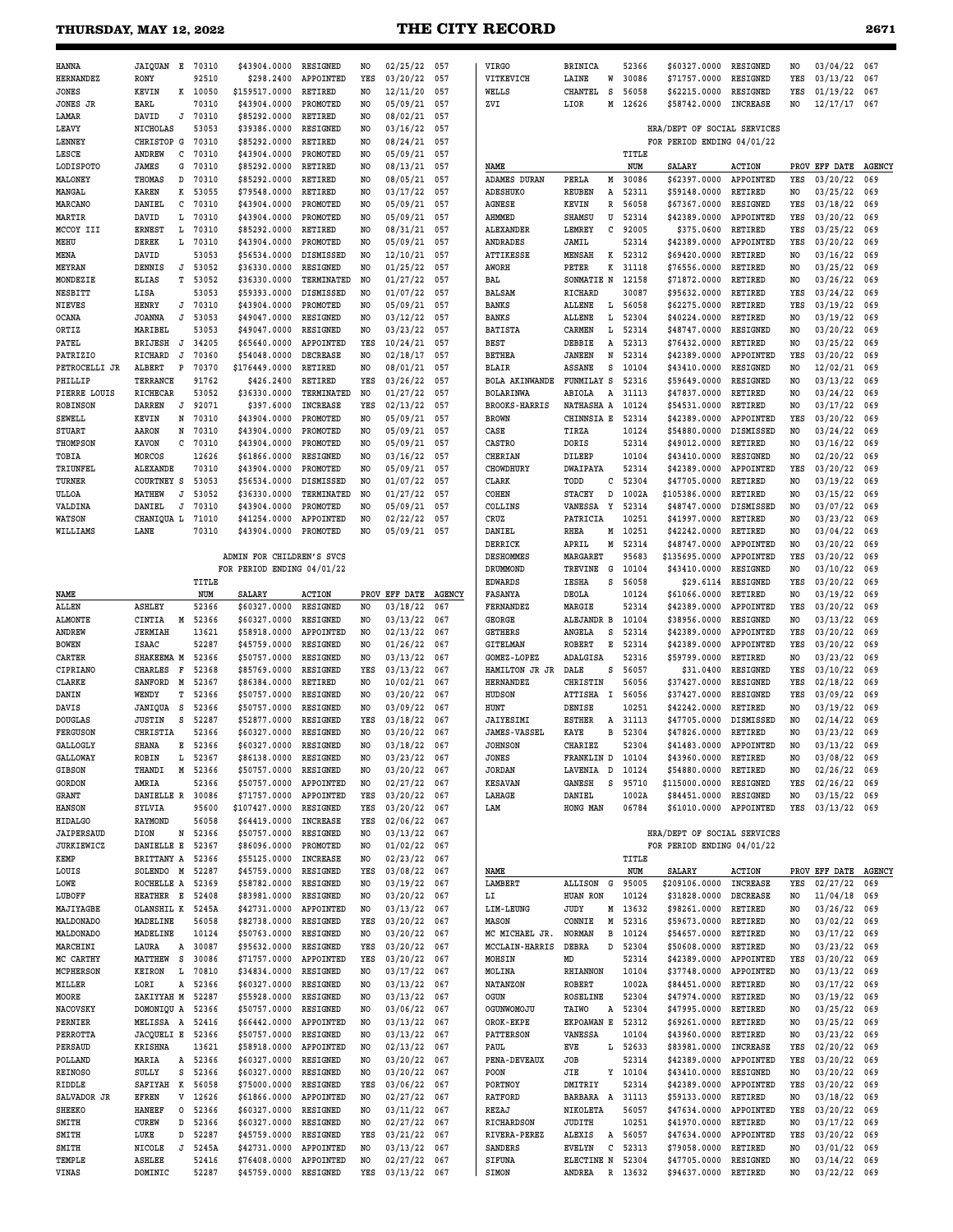### **THURSDAY, MAY 12, 2022 <b>THE CITY RECORD 26**

| ۰.<br>$\sim$<br>۰, |  |
|--------------------|--|
|--------------------|--|

| <b>HANNA</b>                        | JAIOUAN E 70310                  |        |                | \$43904.0000                 | RESIGNED                          | NO                    | 02/25/22             | 057           | <b>VIRGO</b>                        | <b>BRINICA</b>                    | 52366            | \$60327.0000                                              | RESIGNED                         | NO                    | 03/04/22                  | 067                  |
|-------------------------------------|----------------------------------|--------|----------------|------------------------------|-----------------------------------|-----------------------|----------------------|---------------|-------------------------------------|-----------------------------------|------------------|-----------------------------------------------------------|----------------------------------|-----------------------|---------------------------|----------------------|
| <b>HERNANDEZ</b><br><b>JONES</b>    | <b>RONY</b><br><b>KEVIN</b>      | к      | 92510<br>10050 | \$298.2400<br>\$159517.0000  | APPOINTED<br><b>RETIRED</b>       | YES<br>NO             | 03/20/22<br>12/11/20 | 057<br>057    | VITKEVICH<br>WELLS                  | LAINE<br>W<br><b>CHANTEL</b><br>s | 30086<br>56058   | \$71757.0000<br>\$62215.0000                              | RESIGNED<br>RESIGNED             | YES<br>YES            | 03/13/22<br>01/19/22      | 067<br>067           |
| <b>JONES JR</b>                     | EARL                             |        | 70310          | \$43904.0000                 | PROMOTED                          | NO.                   | 05/09/21             | 057           | ZVI                                 | LIOR<br>М                         | 12626            | \$58742.0000                                              | <b>INCREASE</b>                  | NO                    | 12/17/17                  | 067                  |
| LAMAR                               | DAVID                            | J      | 70310          | \$85292.0000                 | <b>RETIRED</b>                    | NO.                   | 08/02/21             | 057           |                                     |                                   |                  |                                                           |                                  |                       |                           |                      |
| <b>LEAVY</b><br>LENNEY              | NICHOLAS<br>CHRISTOP G           |        | 53053<br>70310 | \$39386.0000<br>\$85292.0000 | <b>RESIGNED</b><br><b>RETIRED</b> | NO<br>NO.             | 03/16/22<br>08/24/21 | 057<br>057    |                                     |                                   |                  | HRA/DEPT OF SOCIAL SERVICES<br>FOR PERIOD ENDING 04/01/22 |                                  |                       |                           |                      |
| LESCE                               | ANDREW                           | с      | 70310          | \$43904.0000                 | PROMOTED                          | NO                    | 05/09/21             | 057           |                                     |                                   | TITLE            |                                                           |                                  |                       |                           |                      |
| LODISPOTO                           | JAMES                            | G      | 70310          | \$85292.0000                 | RETIRED                           | NO                    | 08/13/21             | 057           | NAME                                |                                   | NUM              | <b>SALARY</b>                                             | <b>ACTION</b>                    |                       | PROV EFF DATE             | <b>AGENCY</b>        |
| MALONEY<br>MANGAL                   | THOMAS<br><b>KAREN</b>           | D<br>к | 70310<br>53055 | \$85292.0000<br>\$79548.0000 | <b>RETIRED</b><br><b>RETIRED</b>  | NO.<br>NO             | 08/05/21<br>03/17/22 | 057<br>057    | <b>ADAMES DURAN</b><br>ADESHUKO     | PERLA<br>м<br><b>REUBEN</b><br>Α  | 30086<br>52311   | \$62397.0000<br>\$59148.0000                              | APPOINTED<br><b>RETIRED</b>      | YES<br>NO             | 03/20/22<br>03/25/22      | 069<br>069           |
| MARCANO                             | DANIEL                           | с      | 70310          | \$43904.0000                 | PROMOTED                          | NO.                   | 05/09/21             | 057           | <b>AGNESE</b>                       | KEVIN<br>R                        | 56058            | \$67367.0000                                              | RESIGNED                         | YES                   | 03/18/22                  | 069                  |
| MARTIR                              | DAVID                            | L      | 70310          | \$43904.0000                 | PROMOTED                          | NO                    | 05/09/21             | 057           | AHMMED                              | SHAMSU<br>U                       | 52314            | \$42389.0000                                              | APPOINTED                        | YES                   | 03/20/22                  | 069                  |
| MCCOY III<br>MEHU                   | <b>ERNEST</b><br><b>DEREK</b>    | L<br>L | 70310<br>70310 | \$85292.0000<br>\$43904.0000 | RETIRED<br>PROMOTED               | NO<br>N <sub>O</sub>  | 08/31/21<br>05/09/21 | 057<br>057    | <b>ALEXANDER</b><br><b>ANDRADES</b> | LEMREY<br>с<br>JAMIL              | 92005<br>52314   | \$375.0600<br>\$42389.0000                                | RETIRED<br>APPOINTED             | YES<br>YES            | 03/25/22<br>03/20/22      | 069<br>069           |
| MENA                                | DAVID                            |        | 53053          | \$56534.0000                 | DISMISSED                         | NO.                   | 12/10/21             | 057           | ATTIKESSE                           | К<br><b>MENSAH</b>                | 52312            | \$69420.0000                                              | RETIRED                          | NO.                   | 03/16/22                  | 069                  |
| MEYRAN                              | DENNIS                           | J      | 53052          | \$36330.0000                 | RESIGNED                          | NO.                   | 01/25/22             | 057           | AWORH                               | К<br>PETER                        | 31118            | \$76556.0000                                              | RETIRED                          | NO                    | 03/25/22                  | 069                  |
| MONDEZIE<br>NESBITT                 | <b>ELIAS</b><br>LISA             | т      | 53052<br>53053 | \$36330.0000<br>\$59393.0000 | TERMINATED<br>DISMISSED           | NO.<br>NO             | 01/27/22<br>01/07/22 | 057<br>057    | BAL<br>BALSAM                       | SONMATIE N<br>RICHARD             | 12158<br>30087   | \$71872.0000<br>\$95632.0000                              | <b>RETIRED</b><br>RETIRED        | N <sub>O</sub><br>YES | 03/26/22<br>03/24/22      | 069<br>069           |
| <b>NIEVES</b>                       | HENRY                            | J      | 70310          | \$43904.0000                 | PROMOTED                          | NO.                   | 05/09/21             | 057           | <b>BANKS</b>                        | <b>ALLENE</b><br>Ŀ                | 56058            | \$62275.0000                                              | <b>RETIRED</b>                   | YES                   | 03/19/22                  | 069                  |
| <b>OCANA</b>                        | <b>JOANNA</b>                    | J      | 53053          | \$49047.0000                 | RESIGNED                          | NO                    | 03/12/22             | 057           | <b>BANKS</b>                        | <b>ALLENE</b><br>L                | 52304            | \$40224.0000                                              | <b>RETIRED</b>                   | NO                    | 03/19/22                  | 069                  |
| ORTIZ                               | MARIBEL                          |        | 53053          | \$49047.0000                 | RESIGNED                          | NO.                   | 03/23/22             | 057           | <b>BATISTA</b>                      | CARMEN<br>L                       | 52314            | \$48747.0000                                              | <b>RESIGNED</b>                  | NO                    | 03/20/22                  | 069                  |
| PATEL<br>PATRIZIO                   | <b>BRIJESH</b><br>RICHARD        | J<br>J | 34205<br>70360 | \$65640.0000<br>\$54048.0000 | APPOINTED<br><b>DECREASE</b>      | YES<br>NO             | 10/24/21<br>02/18/17 | 057<br>057    | <b>BEST</b><br><b>BETHEA</b>        | DEBBIE<br>A<br><b>JANEEN</b><br>N | 52313<br>52314   | \$76432.0000<br>\$42389.0000                              | <b>RETIRED</b><br>APPOINTED      | NO.<br>YES            | 03/25/22<br>03/20/22      | 069<br>069           |
| PETROCELLI JR                       | ALBERT                           | P      | 70370          | \$176449.0000                | <b>RETIRED</b>                    | NO.                   | 08/01/21             | 057           | <b>BLAIR</b>                        | <b>ASSANE</b><br>s                | 10104            | \$43410.0000                                              | RESIGNED                         | NO                    | 12/02/21                  | 069                  |
| PHILLIP                             | TERRANCE                         |        | 91762          | \$426.2400                   | <b>RETIRED</b>                    | YES                   | 03/26/22             | 057           | <b>BOLA AKINWANDE</b>               | FUNMILAY S                        | 52316            | \$59649.0000                                              | RESIGNED                         | NO                    | 03/13/22                  | 069                  |
| PIERRE LOUIS<br><b>ROBINSON</b>     | <b>RICHECAR</b><br><b>DARREN</b> | J      | 53052<br>92071 | \$36330.0000<br>\$397.6000   | TERMINATED<br><b>INCREASE</b>     | NO<br>YES             | 01/27/22<br>02/13/22 | 057<br>057    | BOLARINWA<br><b>BROOKS-HARRIS</b>   | ABIOLA<br>A<br>NATHASHA A         | 31113<br>10124   | \$47837.0000<br>\$54531.0000                              | RETIRED<br>RETIRED               | NO<br>N <sub>O</sub>  | 03/24/22<br>03/17/22      | 069<br>069           |
| <b>SEWELL</b>                       | KEVIN                            | N      | 70310          | \$43904.0000                 | PROMOTED                          | NO                    | 05/09/21             | 057           | <b>BROWN</b>                        | CHINNSIA E                        | 52314            | \$42389.0000                                              | APPOINTED                        | YES                   | 03/20/22                  | 069                  |
| <b>STUART</b>                       | AARON                            | N      | 70310          | \$43904.0000                 | PROMOTED                          | NO.                   | 05/09/21             | 057           | CASE                                | TIRZA                             | 10124            | \$54880.0000                                              | DISMISSED                        | NO                    | 03/24/22                  | 069                  |
| <b>THOMPSON</b>                     | <b>KAVON</b>                     | C      | 70310          | \$43904.0000                 | PROMOTED                          | NO                    | 05/09/21             | 057           | CASTRO                              | DORIS                             | 52314            | \$49012.0000                                              | <b>RETIRED</b>                   | NO                    | 03/16/22                  | 069                  |
| TOBIA<br>TRIUNFEL                   | MORCOS<br><b>ALEXANDE</b>        |        | 12626<br>70310 | \$61866.0000<br>\$43904.0000 | RESIGNED<br>PROMOTED              | NO<br>NO.             | 03/16/22<br>05/09/21 | 057<br>057    | CHERIAN<br><b>CHOWDHURY</b>         | DILEEP<br><b>DWAIPAYA</b>         | 10104<br>52314   | \$43410.0000<br>\$42389.0000                              | RESIGNED<br>APPOINTED            | NO<br>YES             | 02/20/22<br>03/20/22      | 069<br>069           |
| TURNER                              | <b>COURTNEY S</b>                |        | 53053          | \$56534.0000                 | DISMISSED                         | NO                    | 01/07/22             | 057           | CLARK                               | TODD<br>с                         | 52304            | \$47705.0000                                              | <b>RETIRED</b>                   | NO.                   | 03/19/22                  | 069                  |
| ULLOA                               | MATHEW                           | J      | 53052          | \$36330.0000                 | TERMINATED                        | NO                    | 01/27/22             | 057           | COHEN                               | <b>STACEY</b><br>D                | 1002A            | \$105386.0000                                             | RETIRED                          | NO                    | 03/15/22                  | 069                  |
| VALDINA                             | DANIEL                           | J      | 70310          | \$43904.0000                 | PROMOTED                          | NO.                   | 05/09/21             | 057           | COLLINS                             | VANESSA<br>Y                      | 52314            | \$48747.0000                                              | <b>DISMISSED</b>                 | N <sub>O</sub>        | 03/07/22                  | 069                  |
| <b>WATSON</b><br>WILLIAMS           | CHANIQUA L<br>LANE               |        | 71010<br>70310 | \$41254.0000<br>\$43904.0000 | APPOINTED<br>PROMOTED             | NO.<br>N <sub>O</sub> | 02/22/22<br>05/09/21 | 057<br>057    | CRUZ<br>DANIEL                      | PATRICIA<br><b>RHEA</b><br>М      | 10251<br>10251   | \$41997.0000<br>\$42242.0000                              | RETIRED<br><b>RETIRED</b>        | NO<br>N <sub>O</sub>  | 03/23/22<br>03/04/22      | 069<br>069           |
|                                     |                                  |        |                |                              |                                   |                       |                      |               | DERRICK                             | APRIL<br>M                        | 52314            | \$48747.0000                                              | APPOINTED                        | NO.                   | 03/20/22                  | 069                  |
|                                     |                                  |        |                | ADMIN FOR CHILDREN'S SVCS    |                                   |                       |                      |               | DESHOMMES                           | MARGARET                          | 95683            | \$135695.0000                                             | APPOINTED                        | YES                   | 03/20/22                  | 069                  |
|                                     |                                  |        |                | FOR PERIOD ENDING 04/01/22   |                                   |                       |                      |               | DRUMMOND                            | TREVINE<br>G<br>s                 | 10104            | \$43410.0000                                              | <b>RESIGNED</b>                  | N <sub>O</sub>        | 03/10/22<br>03/20/22      | 069                  |
| NAME                                |                                  |        | TITLE<br>NUM   | <b>SALARY</b>                | <b>ACTION</b>                     |                       | PROV EFF DATE        | <b>AGENCY</b> | <b>EDWARDS</b><br>FASANYA           | IESHA<br>DEOLA                    | 56058<br>10124   | \$29.6114<br>\$61066.0000                                 | RESIGNED<br><b>RETIRED</b>       | YES<br>NO             | 03/19/22                  | 069<br>069           |
| ALLEN                               | <b>ASHLEY</b>                    |        | 52366          | \$60327.0000                 | RESIGNED                          | NO.                   | 03/18/22             | 067           | FERNANDEZ                           | MARGIE                            | 52314            | \$42389.0000                                              | APPOINTED                        | YES                   | 03/20/22                  | 069                  |
|                                     |                                  |        |                |                              |                                   |                       |                      |               |                                     |                                   |                  |                                                           |                                  |                       |                           |                      |
| <b>ALMONTE</b>                      | CINTIA                           | M      | 52366          | \$60327.0000                 | <b>RESIGNED</b>                   | NO                    | 03/13/22             | 067           | GEORGE                              | ALEJANDR B                        | 10104            | \$38956.0000                                              | RESIGNED                         | NO                    | 03/13/22                  | 069                  |
| <b>ANDREW</b>                       | <b>JERMIAH</b>                   |        | 13621          | \$58918.0000                 | APPOINTED                         | NO.                   | 02/13/22             | 067           | <b>GETHERS</b>                      | ANGELA<br>S                       | 52314            | \$42389.0000                                              | APPOINTED                        | YES                   | 03/20/22                  | 069                  |
| <b>BOWEN</b><br>CARTER              | <b>ISAAC</b><br>SHAKEEMA M       |        | 52287<br>52366 | \$45759.0000<br>\$50757.0000 | RESIGNED<br>RESIGNED              | NO<br>NO.             | 01/26/22<br>03/13/22 | 067<br>067    | <b>GITELMAN</b><br>GOMEZ-LOPEZ      | <b>ROBERT</b><br>Е<br>ADALGISA    | 52314<br>52316   | \$42389.0000<br>\$59799.0000                              | APPOINTED<br><b>RETIRED</b>      | YES<br>NO             | 03/20/22<br>03/23/22      | 069<br>069           |
| CIPRIANO                            | <b>CHARLES</b>                   | F      | 52368          | \$85769.0000                 | RESIGNED                          | YES                   | 03/13/22             | 067           | HAMILTON JR JR                      | DALE<br>S                         | 56057            | \$31.0400                                                 | RESIGNED                         | YES                   | 03/10/22                  | 069                  |
| <b>CLARKE</b>                       | SANFORD                          | М      | 52367          | \$86384.0000                 | RETIRED                           | NO                    | 10/02/21             | 067           | <b>HERNANDEZ</b>                    | CHRISTIN                          | 56056            | \$37427.0000                                              | RESIGNED                         | YES                   | 02/18/22                  | 069                  |
| DANIN                               | WENDY                            | т      | 52366          | \$50757.0000                 | RESIGNED                          | NO.                   | 03/20/22             | 067           | HUDSON<br>HUNT                      | <b>ATTISHA</b><br>I               | 56056<br>10251   | \$37427.0000                                              | RESIGNED<br>RETIRED              | YES                   | 03/09/22                  | 069                  |
| DAVIS<br><b>DOUGLAS</b>             | JANIQUA<br><b>JUSTIN</b>         | S<br>s | 52366<br>52287 | \$50757.0000<br>\$52877.0000 | RESIGNED<br>RESIGNED              | NO<br>YES             | 03/09/22<br>03/18/22 | 067<br>067    | JAIYESIMI                           | DENISE<br><b>ESTHER</b><br>A      | 31113            | \$42242.0000<br>\$47705.0000                              | <b>DISMISSED</b>                 | NO<br>NO              | 03/19/22<br>02/14/22      | 069<br>069           |
| <b>FERGUSON</b>                     | CHRISTIA                         |        | 52366          | \$60327.0000                 | RESIGNED                          | N <sub>O</sub>        | 03/20/22             | 067           | <b>JAMES-VASSEL</b>                 | KAYE<br>в                         | 52304            | \$47826.0000                                              | <b>RETIRED</b>                   | NO                    | 03/23/22                  | 069                  |
| <b>GALLOGLY</b>                     | <b>SHANA</b>                     | Е      | 52366          | \$60327.0000                 | RESIGNED                          | NO.                   | 03/18/22             | 067           | <b>JOHNSON</b>                      | <b>CHARIEZ</b>                    | 52304            | \$41483.0000                                              | APPOINTED                        | NO.                   | 03/13/22                  | 069                  |
| GALLOWAY<br><b>GIBSON</b>           | <b>ROBIN</b><br>THANDI           | L<br>M | 52367<br>52366 | \$86138.0000<br>\$50757.0000 | RESIGNED<br>RESIGNED              | NO<br>NO              | 03/23/22<br>03/20/22 | 067<br>067    | JONES<br><b>JORDAN</b>              | FRANKLIN D<br>LAVENIA D           | 10104<br>10124   | \$43960.0000<br>\$54880.0000                              | RETIRED<br>RETIRED               | NO<br>NO              | 03/08/22<br>02/26/22      | 069<br>069           |
| GORDON                              | AMRIA                            |        | 52366          | \$50757.0000                 | APPOINTED                         | NO                    | 02/27/22             | 067           | <b>KESAVAN</b>                      | <b>GANESH</b><br>s                | 95710            | \$115000.0000                                             | RESIGNED                         | YES                   | 02/26/22                  | 069                  |
| GRANT                               | DANIELLE R                       |        | 30086          | \$71757.0000                 | APPOINTED                         | YES                   | 03/20/22             | 067           | LAHAGE                              | DANIEL                            | 1002A            | \$84451.0000                                              | RESIGNED                         | NO                    | 03/15/22                  | 069                  |
| <b>HANSON</b>                       | SYLVIA                           |        | 95600          | \$107427.0000                | RESIGNED                          | YES                   | 03/20/22             | 067           | LAM                                 | HONG MAN                          | 06784            | \$61010.0000                                              | APPOINTED                        | YES                   | 03/13/22                  | 069                  |
| <b>HIDALGO</b><br><b>JAIPERSAUD</b> | <b>RAYMOND</b><br><b>DION</b>    | N      | 56058<br>52366 | \$64419.0000<br>\$50757.0000 | <b>INCREASE</b><br>RESIGNED       | YES<br>NO             | 02/06/22<br>03/13/22 | 067<br>067    |                                     |                                   |                  | HRA/DEPT OF SOCIAL SERVICES                               |                                  |                       |                           |                      |
| <b>JURKIEWICZ</b>                   | DANIELLE E                       |        | 52367          | \$86096.0000                 | PROMOTED                          | NO                    | 01/02/22             | 067           |                                     |                                   |                  | FOR PERIOD ENDING 04/01/22                                |                                  |                       |                           |                      |
| KEMP                                | BRITTANY A                       |        | 52366          | \$55125.0000                 | <b>INCREASE</b>                   | NO                    | 02/23/22             | 067           |                                     |                                   | TITLE            |                                                           |                                  |                       |                           |                      |
| LOUIS<br>LOWE                       | SOLENDO M<br>ROCHELLE A          |        | 52287<br>52369 | \$45759.0000<br>\$58782.0000 | RESIGNED<br>RESIGNED              | YES<br>NO             | 03/08/22<br>03/19/22 | 067<br>067    | NAME<br>LAMBERT                     | <b>ALLISON</b><br>G               | NUM<br>95005     | SALARY<br>\$209106.0000                                   | <b>ACTION</b><br><b>INCREASE</b> | YES                   | PROV EFF DATE<br>02/27/22 | <b>AGENCY</b><br>069 |
| LUBOFF                              | HEATHER E                        |        | 52408          | \$83981.0000                 | RESIGNED                          | NO                    | 03/20/22             | 067           | LI                                  | <b>HUAN RON</b>                   | 10124            | \$31828.0000                                              | DECREASE                         | NO                    | 11/04/18                  | 069                  |
| MAJIYAGBE                           | OLANSHIL K                       |        | 5245A          | \$42731.0000                 | APPOINTED                         | NO                    | 03/13/22             | 067           | <b>LIM-LEUNG</b>                    | JUDY<br>М                         | 13632            | \$98261.0000                                              | <b>RETIRED</b>                   | NO                    | 03/26/22                  | 069                  |
| MALDONADO                           | MADELINE                         |        | 56058          | \$82738.0000                 | RESIGNED                          | YES                   | 03/20/22             | 067           | MASON                               | CONNIE<br>Μ                       | 52316            | \$59673.0000                                              | RETIRED                          | NO.                   | 03/02/22                  | 069                  |
| MALDONADO<br>MARCHINI               | MADELINE<br>LAURA                | Α      | 10124<br>30087 | \$50763.0000<br>\$95632.0000 | RESIGNED<br>RESIGNED              | NO<br>YES             | 03/20/22<br>03/20/22 | 067<br>067    | MC MICHAEL JR.<br>MCCLAIN-HARRIS    | NORMAN<br>в<br>DEBRA<br>D         | 10124<br>52304   | \$54657.0000<br>\$50608.0000                              | RETIRED<br>RETIRED               | NO.<br>NO             | 03/17/22<br>03/23/22      | 069<br>069           |
| MC CARTHY                           | MATTHEW                          | S      | 30086          | \$71757.0000                 | APPOINTED                         | YES                   | 03/20/22             | 067           | MOHSIN                              | MD                                | 52314            | \$42389.0000                                              | APPOINTED                        | YES                   | 03/20/22                  | 069                  |
| MCPHERSON                           | KEIRON                           | L      | 70810          | \$34834.0000                 | RESIGNED                          | NO                    | 03/17/22             | 067           | MOLINA                              | RHIANNON                          | 10104            | \$37748.0000                                              | APPOINTED                        | NO.                   | 03/13/22                  | 069                  |
| MILLER<br>MOORE                     | LORI<br>ZAKIYYAH M               | Α      | 52366<br>52287 | \$60327.0000<br>\$55928.0000 | RESIGNED<br>RESIGNED              | NO<br>NO              | 03/13/22<br>03/13/22 | 067<br>067    | <b>NATANZON</b><br>OGUN             | <b>ROBERT</b><br>ROSELINE         | 1002A<br>52304   | \$84451.0000<br>\$47974.0000                              | RETIRED<br>RETIRED               | NO.<br>NO.            | 03/17/22<br>03/19/22      | 069<br>069           |
| NACOVSKY                            | DOMONIQU A                       |        | 52366          | \$50757.0000                 | RESIGNED                          | NO                    | 03/06/22             | 067           | OGUNWOMOJU                          | TAIWO<br>Α                        | 52304            | \$47995.0000                                              | RETIRED                          | NO                    | 03/25/22                  | 069                  |
| PERNIER                             | MELISSA A                        |        | 52416          | \$66442.0000                 | APPOINTED                         | NO                    | 03/13/22             | 067           | OROK-EKPE                           | <b>EKPOAWAN E</b>                 | 52312            | \$69261.0000                                              | RETIRED                          | NO.                   | 03/25/22                  | 069                  |
| PERROTTA                            | JACQUELI E                       |        | 52366          | \$50757.0000                 | RESIGNED                          | NO                    | 03/13/22             | 067           | <b>PATTERSON</b>                    | VANESSA                           | 10104            | \$43960.0000                                              | RETIRED                          | NO                    | 03/23/22                  | 069                  |
| PERSAUD<br>POLLAND                  | <b>KRISHNA</b><br>MARIA          | Α      | 13621<br>52366 | \$58918.0000<br>\$60327.0000 | APPOINTED<br>RESIGNED             | NO<br>NO              | 02/13/22<br>03/20/22 | 067<br>067    | PAUL<br>PENA-DEVEAUX                | EVE<br>L<br>JOB                   | 52633<br>52314   | \$83981.0000<br>\$42389.0000                              | <b>INCREASE</b><br>APPOINTED     | YES<br>YES            | 02/20/22<br>03/20/22      | 069<br>069           |
| <b>REINOSO</b>                      | SULLY                            | s      | 52366          | \$60327.0000                 | RESIGNED                          | NO.                   | 03/20/22             | 067           | POON                                | JIE<br>Υ                          | 10104            | \$43410.0000                                              | RESIGNED                         | NO                    | 03/20/22                  | 069                  |
| RIDDLE                              | SAFIYAH                          | к      | 56058          | \$75000.0000                 | RESIGNED                          | YES                   | 03/06/22             | 067           | PORTNOY                             | DMITRIY                           | 52314            | \$42389.0000                                              | APPOINTED                        | YES                   | 03/20/22                  | 069                  |
| SALVADOR JR<br><b>SHEEKO</b>        | <b>EFREN</b>                     | v<br>0 | 12626<br>52366 | \$61866.0000<br>\$60327.0000 | APPOINTED<br>RESIGNED             | NO<br>NO              | 02/27/22             | 067<br>067    | RATFORD<br>REZAJ                    | BARBARA<br>A<br>NIKOLETA          | 31113<br>56057   | \$59133.0000<br>\$47634.0000                              | RETIRED<br>APPOINTED             | NO<br>YES             | 03/18/22                  | 069<br>069           |
| SMITH                               | HANEEF<br>CUREW                  | D      | 52366          | \$60327.0000                 | RESIGNED                          | NO                    | 03/11/22<br>02/27/22 | 067           | RICHARDSON                          | JUDITH                            | 10251            | \$41970.0000                                              | RETIRED                          | NO                    | 03/20/22<br>03/17/22      | 069                  |
| SMITH                               | LUKE                             | D      | 52287          | \$45759.0000                 | RESIGNED                          | YES                   | 03/21/22             | 067           | RIVERA-PEREZ                        | ALEXIS<br>Α                       | 56057            | \$47634.0000                                              | APPOINTED                        | YES                   | 03/20/22                  | 069                  |
| SMITH                               | NICOLE                           | J      | 5245A          | \$42731.0000                 | APPOINTED                         | NO                    | 03/13/22             | 067           | <b>SANDERS</b>                      | c<br><b>EVELYN</b>                | 52313            | \$79058.0000                                              | RETIRED                          | NO.                   | 03/01/22                  | 069                  |
| TEMPLE<br>VINAS                     | <b>ASHLEE</b><br>DOMINIC         |        | 52416<br>52287 | \$76408.0000<br>\$45759.0000 | APPOINTED<br>RESIGNED             | NO<br>YES             | 02/27/22<br>03/13/22 | 067<br>067    | SIFUNA<br>SIMON                     | ELECTINE N<br>ANDREA              | 52304<br>R 13632 | \$47705.0000<br>\$94637.0000                              | RESIGNED<br>RETIRED              | NO<br>NO              | 03/14/22<br>03/22/22 069  | 069                  |